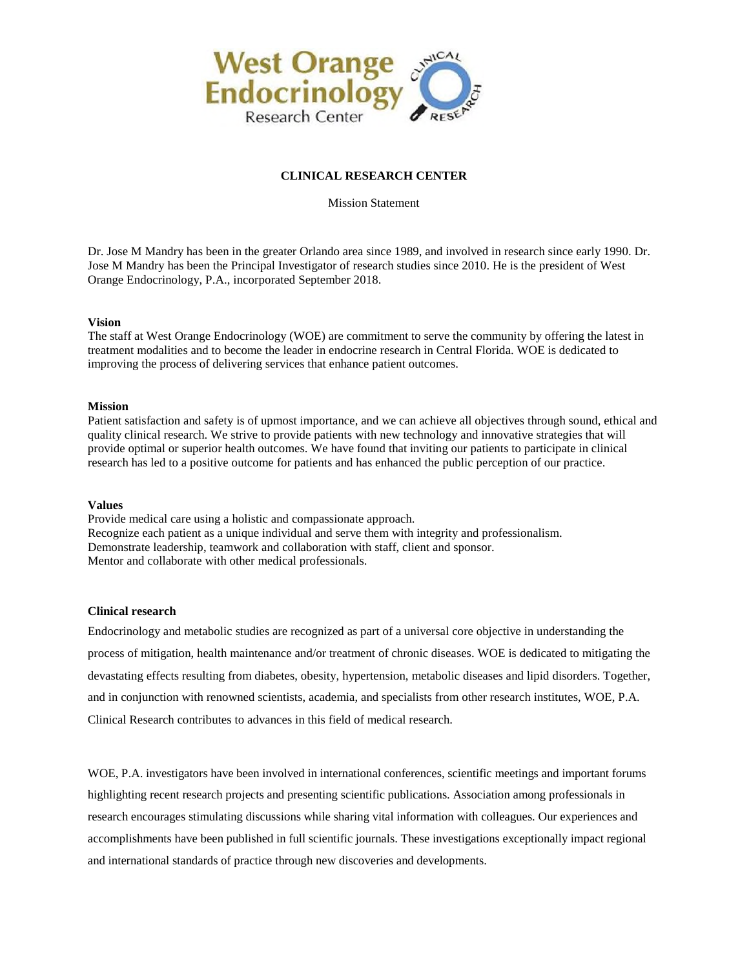

## **CLINICAL RESEARCH CENTER**

Mission Statement

Dr. Jose M Mandry has been in the greater Orlando area since 1989, and involved in research since early 1990. Dr. Jose M Mandry has been the Principal Investigator of research studies since 2010. He is the president of West Orange Endocrinology, P.A., incorporated September 2018.

### **Vision**

The staff at West Orange Endocrinology (WOE) are commitment to serve the community by offering the latest in treatment modalities and to become the leader in endocrine research in Central Florida. WOE is dedicated to improving the process of delivering services that enhance patient outcomes.

### **Mission**

Patient satisfaction and safety is of upmost importance, and we can achieve all objectives through sound, ethical and quality clinical research. We strive to provide patients with new technology and innovative strategies that will provide optimal or superior health outcomes. We have found that inviting our patients to participate in clinical research has led to a positive outcome for patients and has enhanced the public perception of our practice.

### **Values**

Provide medical care using a holistic and compassionate approach. Recognize each patient as a unique individual and serve them with integrity and professionalism. Demonstrate leadership, teamwork and collaboration with staff, client and sponsor. Mentor and collaborate with other medical professionals.

## **Clinical research**

Endocrinology and metabolic studies are recognized as part of a universal core objective in understanding the process of mitigation, health maintenance and/or treatment of chronic diseases. WOE is dedicated to mitigating the devastating effects resulting from diabetes, obesity, hypertension, metabolic diseases and lipid disorders. Together, and in conjunction with renowned scientists, academia, and specialists from other research institutes, WOE, P.A. Clinical Research contributes to advances in this field of medical research.

WOE, P.A. investigators have been involved in international conferences, scientific meetings and important forums highlighting recent research projects and presenting scientific publications. Association among professionals in research encourages stimulating discussions while sharing vital information with colleagues. Our experiences and accomplishments have been published in full scientific journals. These investigations exceptionally impact regional and international standards of practice through new discoveries and developments.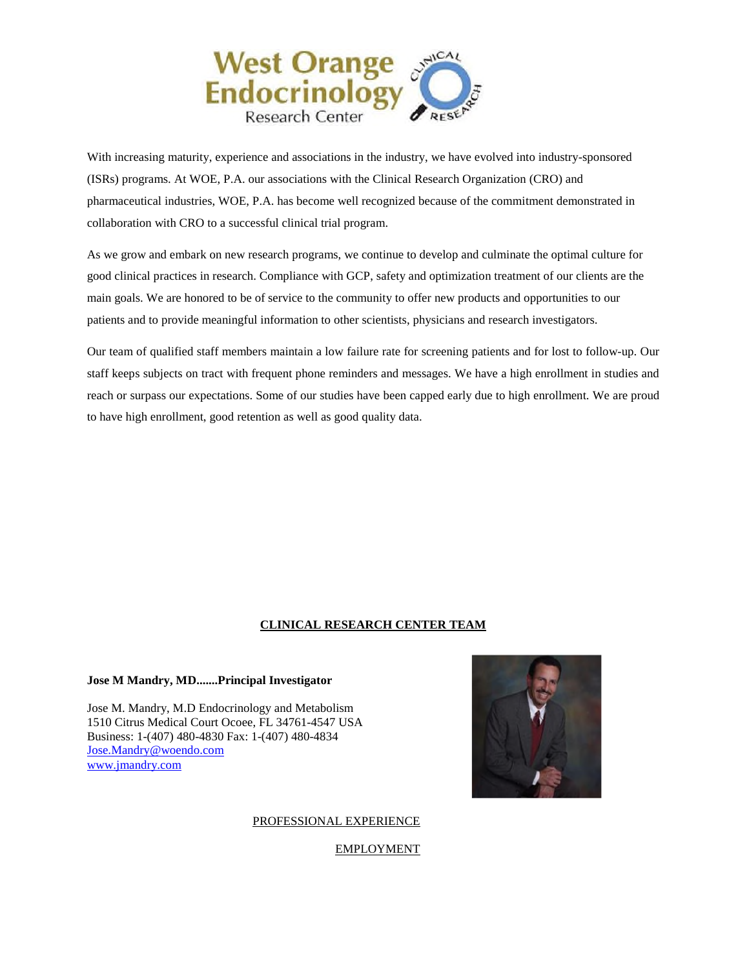

With increasing maturity, experience and associations in the industry, we have evolved into industry-sponsored (ISRs) programs. At WOE, P.A. our associations with the Clinical Research Organization (CRO) and pharmaceutical industries, WOE, P.A. has become well recognized because of the commitment demonstrated in collaboration with CRO to a successful clinical trial program.

As we grow and embark on new research programs, we continue to develop and culminate the optimal culture for good clinical practices in research. Compliance with GCP, safety and optimization treatment of our clients are the main goals. We are honored to be of service to the community to offer new products and opportunities to our patients and to provide meaningful information to other scientists, physicians and research investigators.

Our team of qualified staff members maintain a low failure rate for screening patients and for lost to follow-up. Our staff keeps subjects on tract with frequent phone reminders and messages. We have a high enrollment in studies and reach or surpass our expectations. Some of our studies have been capped early due to high enrollment. We are proud to have high enrollment, good retention as well as good quality data.

## **CLINICAL RESEARCH CENTER TEAM**

### **Jose M Mandry, MD.......Principal Investigator**

Jose M. Mandry, M.D Endocrinology and Metabolism 1510 Citrus Medical Court Ocoee, FL 34761-4547 USA Business: 1-(407) 480-4830 Fax: 1-(407) 480-4834 [Jose.Mandry@woendo.com](mailto:Jose.Mandry@woendo.com)  [www.jmandry.com](http://www.jmandry.com/) 



## PROFESSIONAL EXPERIENCE

EMPLOYMENT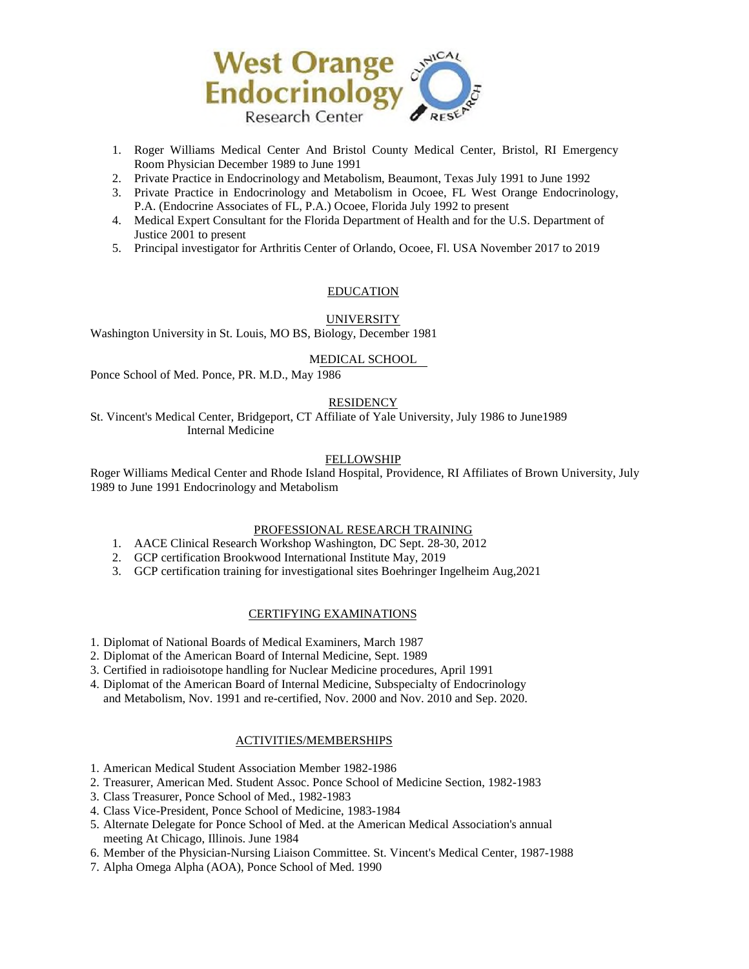

- 1. Roger Williams Medical Center And Bristol County Medical Center, Bristol, RI Emergency Room Physician December 1989 to June 1991
- 2. Private Practice in Endocrinology and Metabolism, Beaumont, Texas July 1991 to June 1992
- 3. Private Practice in Endocrinology and Metabolism in Ocoee, FL West Orange Endocrinology, P.A. (Endocrine Associates of FL, P.A.) Ocoee, Florida July 1992 to present
- 4. Medical Expert Consultant for the Florida Department of Health and for the U.S. Department of Justice 2001 to present
- 5. Principal investigator for Arthritis Center of Orlando, Ocoee, Fl. USA November 2017 to 2019

### EDUCATION

### UNIVERSITY

Washington University in St. Louis, MO BS, Biology, December 1981

#### MEDICAL SCHOOL

Ponce School of Med. Ponce, PR. M.D., May 1986

### **RESIDENCY**

St. Vincent's Medical Center, Bridgeport, CT Affiliate of Yale University, July 1986 to June1989 Internal Medicine

#### FELLOWSHIP

Roger Williams Medical Center and Rhode Island Hospital, Providence, RI Affiliates of Brown University, July 1989 to June 1991 Endocrinology and Metabolism

#### PROFESSIONAL RESEARCH TRAINING

- 1. AACE Clinical Research Workshop Washington, DC Sept. 28-30, 2012
- 2. GCP certification Brookwood International Institute May, 2019
- 3. GCP certification training for investigational sites Boehringer Ingelheim Aug,2021

#### CERTIFYING EXAMINATIONS

- 1. Diplomat of National Boards of Medical Examiners, March 1987
- 2. Diplomat of the American Board of Internal Medicine, Sept. 1989
- 3. Certified in radioisotope handling for Nuclear Medicine procedures, April 1991
- 4. Diplomat of the American Board of Internal Medicine, Subspecialty of Endocrinology and Metabolism, Nov. 1991 and re-certified, Nov. 2000 and Nov. 2010 and Sep. 2020.

### ACTIVITIES/MEMBERSHIPS

- 1. American Medical Student Association Member 1982-1986
- 2. Treasurer, American Med. Student Assoc. Ponce School of Medicine Section, 1982-1983
- 3. Class Treasurer, Ponce School of Med., 1982-1983
- 4. Class Vice-President, Ponce School of Medicine, 1983-1984
- 5. Alternate Delegate for Ponce School of Med. at the American Medical Association's annual meeting At Chicago, Illinois. June 1984
- 6. Member of the Physician-Nursing Liaison Committee. St. Vincent's Medical Center, 1987-1988
- 7. Alpha Omega Alpha (AOA), Ponce School of Med. 1990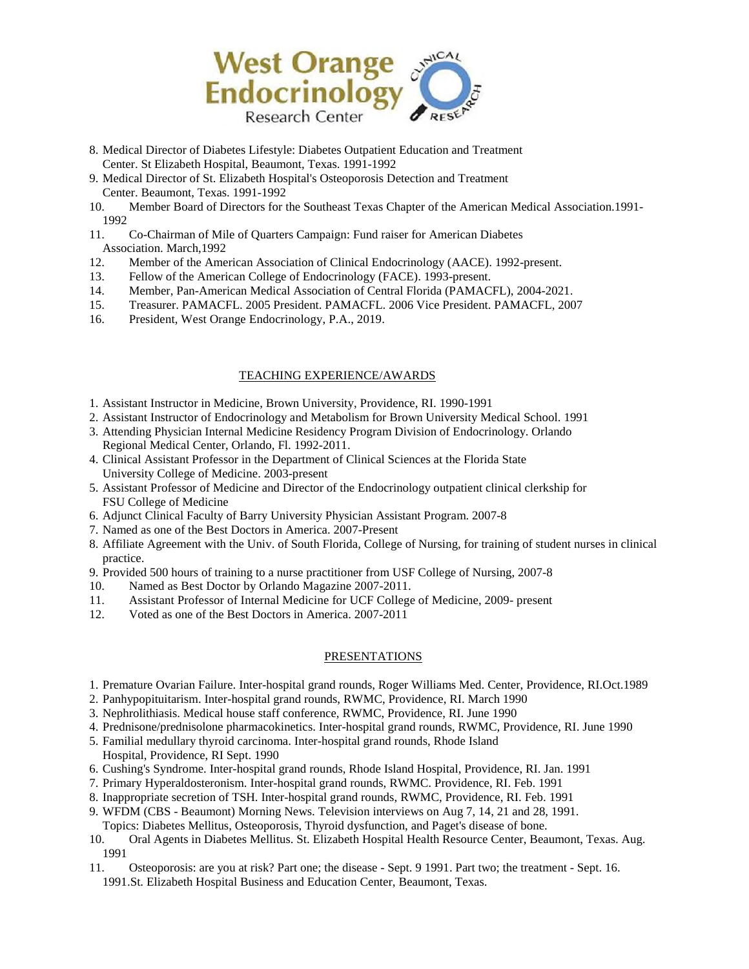

- 8. Medical Director of Diabetes Lifestyle: Diabetes Outpatient Education and Treatment Center. St Elizabeth Hospital, Beaumont, Texas. 1991-1992
- 9. Medical Director of St. Elizabeth Hospital's Osteoporosis Detection and Treatment Center. Beaumont, Texas. 1991-1992
- 10. Member Board of Directors for the Southeast Texas Chapter of the American Medical Association.1991- 1992
- 11. Co-Chairman of Mile of Quarters Campaign: Fund raiser for American Diabetes Association. March,1992
- 12. Member of the American Association of Clinical Endocrinology (AACE). 1992-present.
- 13. Fellow of the American College of Endocrinology (FACE). 1993-present.
- 14. Member, Pan-American Medical Association of Central Florida (PAMACFL), 2004-2021.
- 15. Treasurer. PAMACFL. 2005 President. PAMACFL. 2006 Vice President. PAMACFL, 2007
- 16. President, West Orange Endocrinology, P.A., 2019.

## TEACHING EXPERIENCE/AWARDS

- 1. Assistant Instructor in Medicine, Brown University, Providence, RI. 1990-1991
- 2. Assistant Instructor of Endocrinology and Metabolism for Brown University Medical School. 1991
- 3. Attending Physician Internal Medicine Residency Program Division of Endocrinology. Orlando Regional Medical Center, Orlando, Fl. 1992-2011.
- 4. Clinical Assistant Professor in the Department of Clinical Sciences at the Florida State University College of Medicine. 2003-present
- 5. Assistant Professor of Medicine and Director of the Endocrinology outpatient clinical clerkship for FSU College of Medicine
- 6. Adjunct Clinical Faculty of Barry University Physician Assistant Program. 2007-8
- 7. Named as one of the Best Doctors in America. 2007-Present
- 8. Affiliate Agreement with the Univ. of South Florida, College of Nursing, for training of student nurses in clinical practice.
- 9. Provided 500 hours of training to a nurse practitioner from USF College of Nursing, 2007-8
- 10. Named as Best Doctor by Orlando Magazine 2007-2011.
- 11. Assistant Professor of Internal Medicine for UCF College of Medicine, 2009- present
- 12. Voted as one of the Best Doctors in America. 2007-2011

## PRESENTATIONS

- 1. Premature Ovarian Failure. Inter-hospital grand rounds, Roger Williams Med. Center, Providence, RI.Oct.1989
- 2. Panhypopituitarism. Inter-hospital grand rounds, RWMC, Providence, RI. March 1990
- 3. Nephrolithiasis. Medical house staff conference, RWMC, Providence, RI. June 1990
- 4. Prednisone/prednisolone pharmacokinetics. Inter-hospital grand rounds, RWMC, Providence, RI. June 1990
- 5. Familial medullary thyroid carcinoma. Inter-hospital grand rounds, Rhode Island Hospital, Providence, RI Sept. 1990
- 6. Cushing's Syndrome. Inter-hospital grand rounds, Rhode Island Hospital, Providence, RI. Jan. 1991
- 7. Primary Hyperaldosteronism. Inter-hospital grand rounds, RWMC. Providence, RI. Feb. 1991
- 8. Inappropriate secretion of TSH. Inter-hospital grand rounds, RWMC, Providence, RI. Feb. 1991
- 9. WFDM (CBS Beaumont) Morning News. Television interviews on Aug 7, 14, 21 and 28, 1991.
- Topics: Diabetes Mellitus, Osteoporosis, Thyroid dysfunction, and Paget's disease of bone.
- 10. Oral Agents in Diabetes Mellitus. St. Elizabeth Hospital Health Resource Center, Beaumont, Texas. Aug. 1991
- 11. Osteoporosis: are you at risk? Part one; the disease Sept. 9 1991. Part two; the treatment Sept. 16. 1991.St. Elizabeth Hospital Business and Education Center, Beaumont, Texas.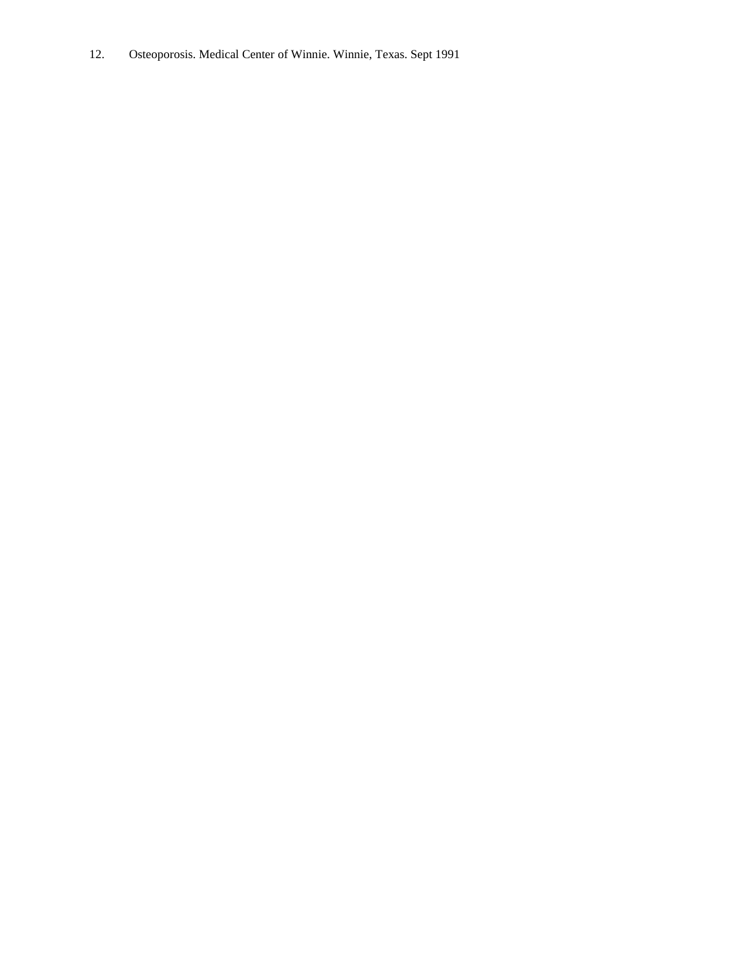12. Osteoporosis. Medical Center of Winnie. Winnie, Texas. Sept 1991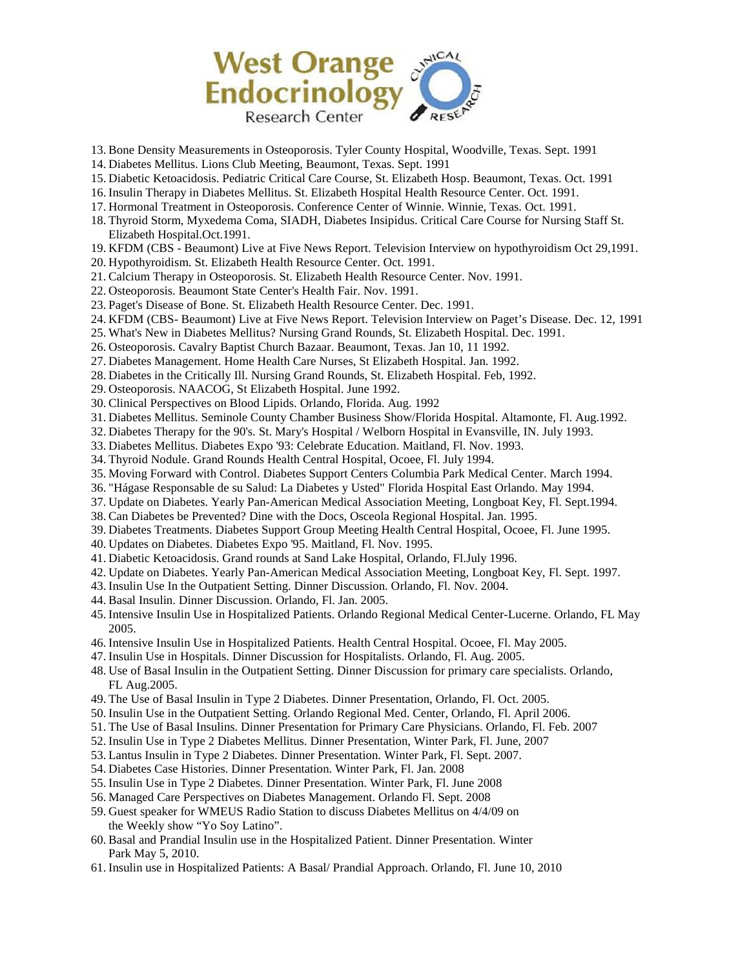

- 13. Bone Density Measurements in Osteoporosis. Tyler County Hospital, Woodville, Texas. Sept. 1991
- 14. Diabetes Mellitus. Lions Club Meeting, Beaumont, Texas. Sept. 1991
- 15. Diabetic Ketoacidosis. Pediatric Critical Care Course, St. Elizabeth Hosp. Beaumont, Texas. Oct. 1991
- 16. Insulin Therapy in Diabetes Mellitus. St. Elizabeth Hospital Health Resource Center. Oct. 1991.
- 17. Hormonal Treatment in Osteoporosis. Conference Center of Winnie. Winnie, Texas. Oct. 1991.
- 18. Thyroid Storm, Myxedema Coma, SIADH, Diabetes Insipidus. Critical Care Course for Nursing Staff St. Elizabeth Hospital.Oct.1991.
- 19. KFDM (CBS Beaumont) Live at Five News Report. Television Interview on hypothyroidism Oct 29,1991.
- 20. Hypothyroidism. St. Elizabeth Health Resource Center. Oct. 1991.
- 21. Calcium Therapy in Osteoporosis. St. Elizabeth Health Resource Center. Nov. 1991.
- 22. Osteoporosis. Beaumont State Center's Health Fair. Nov. 1991.
- 23. Paget's Disease of Bone. St. Elizabeth Health Resource Center. Dec. 1991.
- 24. KFDM (CBS- Beaumont) Live at Five News Report. Television Interview on Paget's Disease. Dec. 12, 1991
- 25. What's New in Diabetes Mellitus? Nursing Grand Rounds, St. Elizabeth Hospital. Dec. 1991.
- 26. Osteoporosis. Cavalry Baptist Church Bazaar. Beaumont, Texas. Jan 10, 11 1992.
- 27. Diabetes Management. Home Health Care Nurses, St Elizabeth Hospital. Jan. 1992.
- 28. Diabetes in the Critically Ill. Nursing Grand Rounds, St. Elizabeth Hospital. Feb, 1992.
- 29. Osteoporosis. NAACOG, St Elizabeth Hospital. June 1992.
- 30. Clinical Perspectives on Blood Lipids. Orlando, Florida. Aug. 1992
- 31. Diabetes Mellitus. Seminole County Chamber Business Show/Florida Hospital. Altamonte, Fl. Aug.1992.
- 32. Diabetes Therapy for the 90's. St. Mary's Hospital / Welborn Hospital in Evansville, IN. July 1993.
- 33. Diabetes Mellitus. Diabetes Expo '93: Celebrate Education. Maitland, Fl. Nov. 1993.
- 34. Thyroid Nodule. Grand Rounds Health Central Hospital, Ocoee, Fl. July 1994.
- 35. Moving Forward with Control. Diabetes Support Centers Columbia Park Medical Center. March 1994.
- 36. "Hágase Responsable de su Salud: La Diabetes y Usted" Florida Hospital East Orlando. May 1994.
- 37. Update on Diabetes. Yearly Pan-American Medical Association Meeting, Longboat Key, Fl. Sept.1994.
- 38. Can Diabetes be Prevented? Dine with the Docs, Osceola Regional Hospital. Jan. 1995.
- 39. Diabetes Treatments. Diabetes Support Group Meeting Health Central Hospital, Ocoee, Fl. June 1995.
- 40. Updates on Diabetes. Diabetes Expo '95. Maitland, Fl. Nov. 1995.
- 41. Diabetic Ketoacidosis. Grand rounds at Sand Lake Hospital, Orlando, Fl.July 1996.
- 42. Update on Diabetes. Yearly Pan-American Medical Association Meeting, Longboat Key, Fl. Sept. 1997.
- 43. Insulin Use In the Outpatient Setting. Dinner Discussion. Orlando, Fl. Nov. 2004.
- 44. Basal Insulin. Dinner Discussion. Orlando, Fl. Jan. 2005.
- 45. Intensive Insulin Use in Hospitalized Patients. Orlando Regional Medical Center-Lucerne. Orlando, FL May 2005.
- 46. Intensive Insulin Use in Hospitalized Patients. Health Central Hospital. Ocoee, Fl. May 2005.
- 47. Insulin Use in Hospitals. Dinner Discussion for Hospitalists. Orlando, Fl. Aug. 2005.
- 48. Use of Basal Insulin in the Outpatient Setting. Dinner Discussion for primary care specialists. Orlando, FL Aug.2005.
- 49. The Use of Basal Insulin in Type 2 Diabetes. Dinner Presentation, Orlando, Fl. Oct. 2005.
- 50. Insulin Use in the Outpatient Setting. Orlando Regional Med. Center, Orlando, Fl. April 2006.
- 51. The Use of Basal Insulins. Dinner Presentation for Primary Care Physicians. Orlando, Fl. Feb. 2007
- 52. Insulin Use in Type 2 Diabetes Mellitus. Dinner Presentation, Winter Park, Fl. June, 2007
- 53. Lantus Insulin in Type 2 Diabetes. Dinner Presentation. Winter Park, Fl. Sept. 2007.
- 54. Diabetes Case Histories. Dinner Presentation. Winter Park, Fl. Jan. 2008
- 55. Insulin Use in Type 2 Diabetes. Dinner Presentation. Winter Park, Fl. June 2008
- 56. Managed Care Perspectives on Diabetes Management. Orlando Fl. Sept. 2008
- 59. Guest speaker for WMEUS Radio Station to discuss Diabetes Mellitus on 4/4/09 on the Weekly show "Yo Soy Latino".
- 60. Basal and Prandial Insulin use in the Hospitalized Patient. Dinner Presentation. Winter Park May 5, 2010.
- 61. Insulin use in Hospitalized Patients: A Basal/ Prandial Approach. Orlando, Fl. June 10, 2010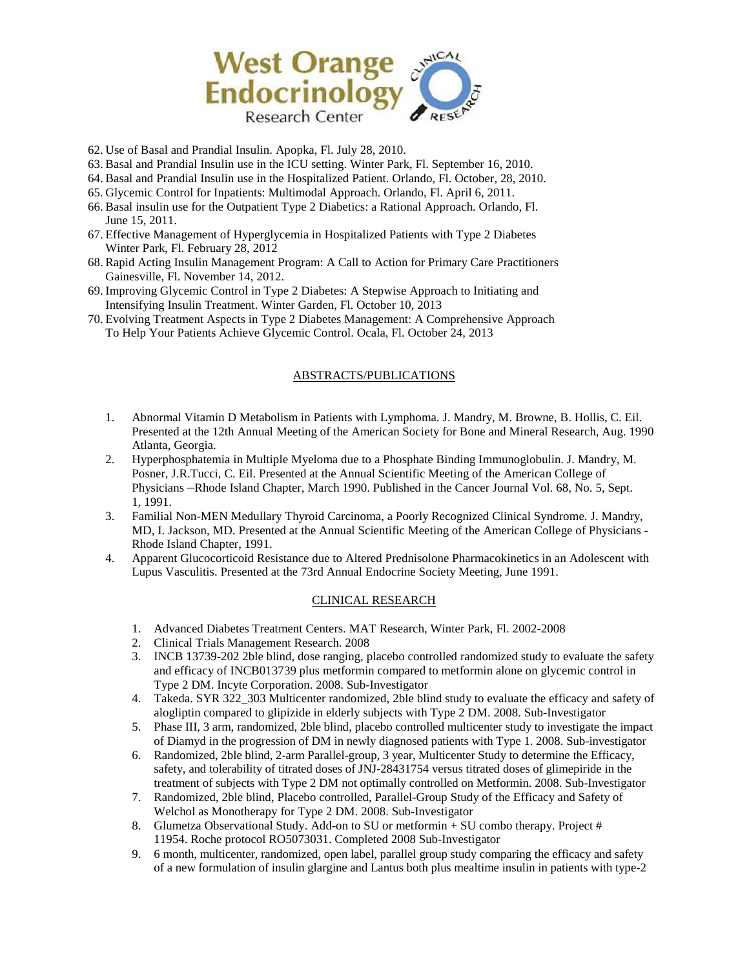

- 62. Use of Basal and Prandial Insulin. Apopka, Fl. July 28, 2010.
- 63. Basal and Prandial Insulin use in the ICU setting. Winter Park, Fl. September 16, 2010.
- 64. Basal and Prandial Insulin use in the Hospitalized Patient. Orlando, Fl. October, 28, 2010.
- 65. Glycemic Control for Inpatients: Multimodal Approach. Orlando, Fl. April 6, 2011.
- 66. Basal insulin use for the Outpatient Type 2 Diabetics: a Rational Approach. Orlando, Fl. June 15, 2011.
- 67. Effective Management of Hyperglycemia in Hospitalized Patients with Type 2 Diabetes Winter Park, Fl. February 28, 2012
- 68. Rapid Acting Insulin Management Program: A Call to Action for Primary Care Practitioners Gainesville, Fl. November 14, 2012.
- 69. Improving Glycemic Control in Type 2 Diabetes: A Stepwise Approach to Initiating and Intensifying Insulin Treatment. Winter Garden, Fl. October 10, 2013
- 70. Evolving Treatment Aspects in Type 2 Diabetes Management: A Comprehensive Approach To Help Your Patients Achieve Glycemic Control. Ocala, Fl. October 24, 2013

## ABSTRACTS/PUBLICATIONS

- 1. Abnormal Vitamin D Metabolism in Patients with Lymphoma. J. Mandry, M. Browne, B. Hollis, C. Eil. Presented at the 12th Annual Meeting of the American Society for Bone and Mineral Research, Aug. 1990 Atlanta, Georgia.
- 2. Hyperphosphatemia in Multiple Myeloma due to a Phosphate Binding Immunoglobulin. J. Mandry, M. Posner, J.R.Tucci, C. Eil. Presented at the Annual Scientific Meeting of the American College of Physicians –Rhode Island Chapter, March 1990. Published in the Cancer Journal Vol. 68, No. 5, Sept. 1, 1991.
- 3. Familial Non-MEN Medullary Thyroid Carcinoma, a Poorly Recognized Clinical Syndrome. J. Mandry, MD, I. Jackson, MD. Presented at the Annual Scientific Meeting of the American College of Physicians - Rhode Island Chapter, 1991.
- 4. Apparent Glucocorticoid Resistance due to Altered Prednisolone Pharmacokinetics in an Adolescent with Lupus Vasculitis. Presented at the 73rd Annual Endocrine Society Meeting, June 1991.

## CLINICAL RESEARCH

- 1. Advanced Diabetes Treatment Centers. MAT Research, Winter Park, Fl. 2002-2008
- 2. Clinical Trials Management Research. 2008
- 3. INCB 13739-202 2ble blind, dose ranging, placebo controlled randomized study to evaluate the safety and efficacy of INCB013739 plus metformin compared to metformin alone on glycemic control in Type 2 DM. Incyte Corporation. 2008. Sub-Investigator
- 4. Takeda. SYR 322\_303 Multicenter randomized, 2ble blind study to evaluate the efficacy and safety of alogliptin compared to glipizide in elderly subjects with Type 2 DM. 2008. Sub-Investigator
- 5. Phase III, 3 arm, randomized, 2ble blind, placebo controlled multicenter study to investigate the impact of Diamyd in the progression of DM in newly diagnosed patients with Type 1. 2008. Sub-investigator
- 6. Randomized, 2ble blind, 2-arm Parallel-group, 3 year, Multicenter Study to determine the Efficacy, safety, and tolerability of titrated doses of JNJ-28431754 versus titrated doses of glimepiride in the treatment of subjects with Type 2 DM not optimally controlled on Metformin. 2008. Sub-Investigator
- 7. Randomized, 2ble blind, Placebo controlled, Parallel-Group Study of the Efficacy and Safety of Welchol as Monotherapy for Type 2 DM. 2008. Sub-Investigator
- 8. Glumetza Observational Study. Add-on to SU or metformin + SU combo therapy. Project # 11954. Roche protocol RO5073031. Completed 2008 Sub-Investigator
- 9. 6 month, multicenter, randomized, open label, parallel group study comparing the efficacy and safety of a new formulation of insulin glargine and Lantus both plus mealtime insulin in patients with type-2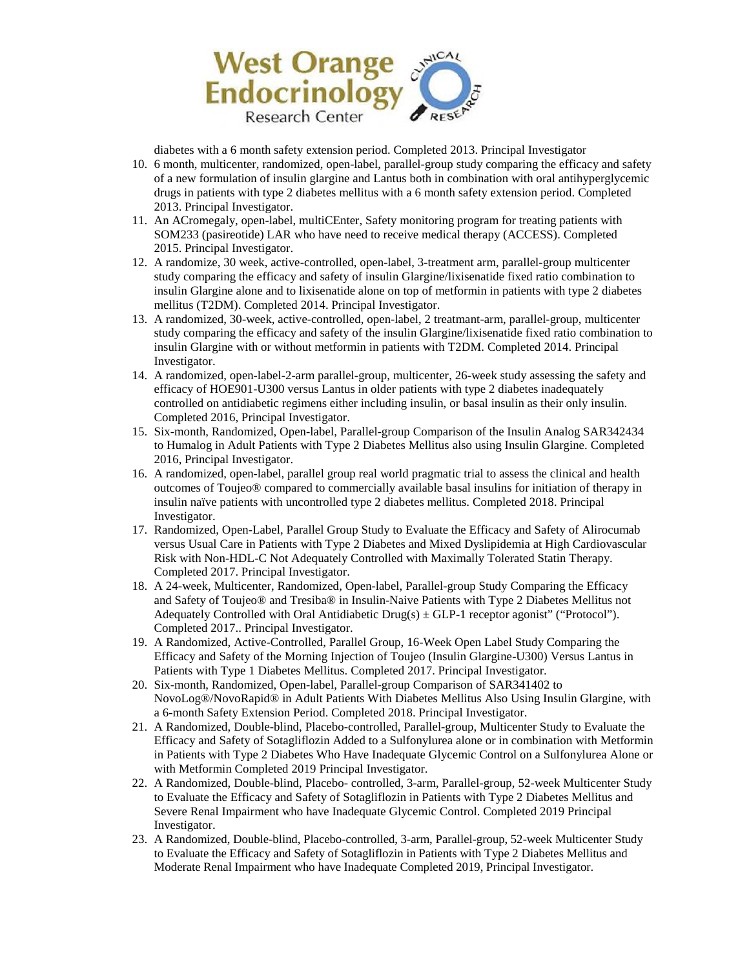

diabetes with a 6 month safety extension period. Completed 2013. Principal Investigator

- 10. 6 month, multicenter, randomized, open-label, parallel-group study comparing the efficacy and safety of a new formulation of insulin glargine and Lantus both in combination with oral antihyperglycemic drugs in patients with type 2 diabetes mellitus with a 6 month safety extension period. Completed 2013. Principal Investigator.
- 11. An ACromegaly, open-label, multiCEnter, Safety monitoring program for treating patients with SOM233 (pasireotide) LAR who have need to receive medical therapy (ACCESS). Completed 2015. Principal Investigator.
- 12. A randomize, 30 week, active-controlled, open-label, 3-treatment arm, parallel-group multicenter study comparing the efficacy and safety of insulin Glargine/lixisenatide fixed ratio combination to insulin Glargine alone and to lixisenatide alone on top of metformin in patients with type 2 diabetes mellitus (T2DM). Completed 2014. Principal Investigator.
- 13. A randomized, 30-week, active-controlled, open-label, 2 treatmant-arm, parallel-group, multicenter study comparing the efficacy and safety of the insulin Glargine/lixisenatide fixed ratio combination to insulin Glargine with or without metformin in patients with T2DM. Completed 2014. Principal Investigator.
- 14. A randomized, open-label-2-arm parallel-group, multicenter, 26-week study assessing the safety and efficacy of HOE901-U300 versus Lantus in older patients with type 2 diabetes inadequately controlled on antidiabetic regimens either including insulin, or basal insulin as their only insulin. Completed 2016, Principal Investigator.
- 15. Six-month, Randomized, Open-label, Parallel-group Comparison of the Insulin Analog SAR342434 to Humalog in Adult Patients with Type 2 Diabetes Mellitus also using Insulin Glargine. Completed 2016, Principal Investigator.
- 16. A randomized, open-label, parallel group real world pragmatic trial to assess the clinical and health outcomes of Toujeo® compared to commercially available basal insulins for initiation of therapy in insulin naïve patients with uncontrolled type 2 diabetes mellitus. Completed 2018. Principal Investigator.
- 17. Randomized, Open-Label, Parallel Group Study to Evaluate the Efficacy and Safety of Alirocumab versus Usual Care in Patients with Type 2 Diabetes and Mixed Dyslipidemia at High Cardiovascular Risk with Non-HDL-C Not Adequately Controlled with Maximally Tolerated Statin Therapy. Completed 2017. Principal Investigator.
- 18. A 24-week, Multicenter, Randomized, Open-label, Parallel-group Study Comparing the Efficacy and Safety of Toujeo® and Tresiba® in Insulin-Naive Patients with Type 2 Diabetes Mellitus not Adequately Controlled with Oral Antidiabetic Drug(s)  $\pm$  GLP-1 receptor agonist" ("Protocol"). Completed 2017.. Principal Investigator.
- 19. A Randomized, Active-Controlled, Parallel Group, 16-Week Open Label Study Comparing the Efficacy and Safety of the Morning Injection of Toujeo (Insulin Glargine-U300) Versus Lantus in Patients with Type 1 Diabetes Mellitus. Completed 2017. Principal Investigator.
- 20. Six-month, Randomized, Open-label, Parallel-group Comparison of SAR341402 to NovoLog®/NovoRapid® in Adult Patients With Diabetes Mellitus Also Using Insulin Glargine, with a 6-month Safety Extension Period. Completed 2018. Principal Investigator.
- 21. A Randomized, Double-blind, Placebo-controlled, Parallel-group, Multicenter Study to Evaluate the Efficacy and Safety of Sotagliflozin Added to a Sulfonylurea alone or in combination with Metformin in Patients with Type 2 Diabetes Who Have Inadequate Glycemic Control on a Sulfonylurea Alone or with Metformin Completed 2019 Principal Investigator.
- 22. A Randomized, Double-blind, Placebo- controlled, 3-arm, Parallel-group, 52-week Multicenter Study to Evaluate the Efficacy and Safety of Sotagliflozin in Patients with Type 2 Diabetes Mellitus and Severe Renal Impairment who have Inadequate Glycemic Control. Completed 2019 Principal Investigator.
- 23. A Randomized, Double-blind, Placebo-controlled, 3-arm, Parallel-group, 52-week Multicenter Study to Evaluate the Efficacy and Safety of Sotagliflozin in Patients with Type 2 Diabetes Mellitus and Moderate Renal Impairment who have Inadequate Completed 2019, Principal Investigator.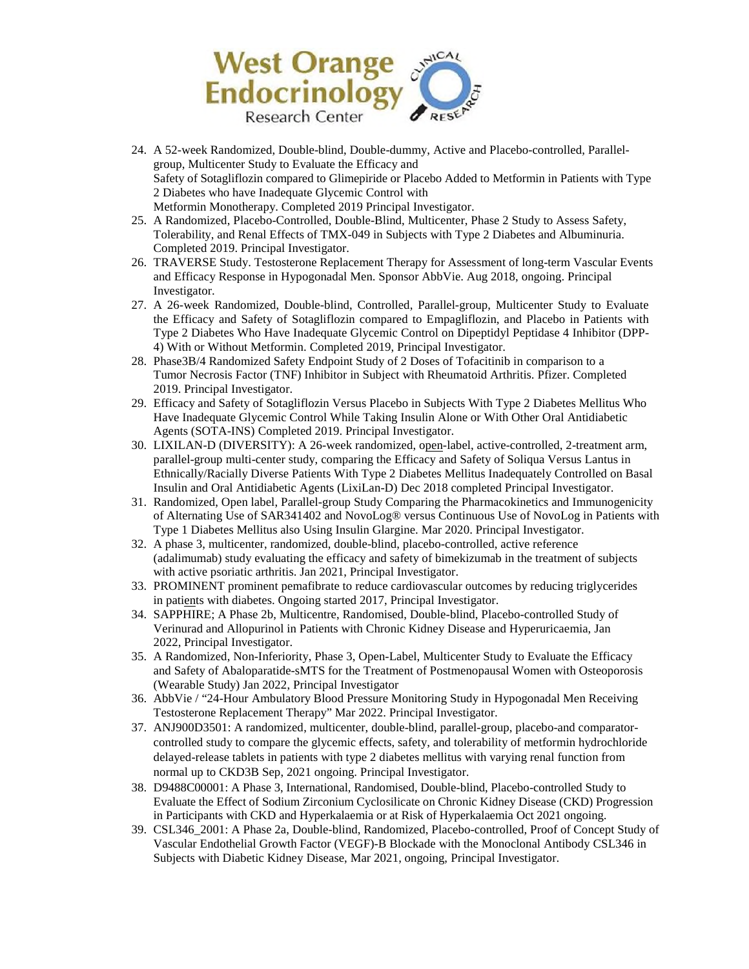

- 24. A 52-week Randomized, Double-blind, Double-dummy, Active and Placebo-controlled, Parallelgroup, Multicenter Study to Evaluate the Efficacy and Safety of Sotagliflozin compared to Glimepiride or Placebo Added to Metformin in Patients with Type 2 Diabetes who have Inadequate Glycemic Control with Metformin Monotherapy. Completed 2019 Principal Investigator.
- 25. A Randomized, Placebo-Controlled, Double-Blind, Multicenter, Phase 2 Study to Assess Safety, Tolerability, and Renal Effects of TMX-049 in Subjects with Type 2 Diabetes and Albuminuria. Completed 2019. Principal Investigator.
- 26. TRAVERSE Study. Testosterone Replacement Therapy for Assessment of long-term Vascular Events and Efficacy Response in Hypogonadal Men. Sponsor AbbVie. Aug 2018, ongoing. Principal Investigator.
- 27. A 26-week Randomized, Double-blind, Controlled, Parallel-group, Multicenter Study to Evaluate the Efficacy and Safety of Sotagliflozin compared to Empagliflozin, and Placebo in Patients with Type 2 Diabetes Who Have Inadequate Glycemic Control on Dipeptidyl Peptidase 4 Inhibitor (DPP-4) With or Without Metformin. Completed 2019, Principal Investigator.
- 28. Phase3B/4 Randomized Safety Endpoint Study of 2 Doses of Tofacitinib in comparison to a Tumor Necrosis Factor (TNF) Inhibitor in Subject with Rheumatoid Arthritis. Pfizer. Completed 2019. Principal Investigator.
- 29. Efficacy and Safety of Sotagliflozin Versus Placebo in Subjects With Type 2 Diabetes Mellitus Who Have Inadequate Glycemic Control While Taking Insulin Alone or With Other Oral Antidiabetic Agents (SOTA-INS) Completed 2019. Principal Investigator.
- 30. LIXILAN-D (DIVERSITY): A 26-week randomized, open-label, active-controlled, 2-treatment arm, parallel-group multi-center study, comparing the Efficacy and Safety of Soliqua Versus Lantus in Ethnically/Racially Diverse Patients With Type 2 Diabetes Mellitus Inadequately Controlled on Basal Insulin and Oral Antidiabetic Agents (LixiLan-D) Dec 2018 completed Principal Investigator.
- 31. Randomized, Open label, Parallel-group Study Comparing the Pharmacokinetics and Immunogenicity of Alternating Use of SAR341402 and NovoLog® versus Continuous Use of NovoLog in Patients with Type 1 Diabetes Mellitus also Using Insulin Glargine. Mar 2020. Principal Investigator.
- 32. A phase 3, multicenter, randomized, double-blind, placebo-controlled, active reference (adalimumab) study evaluating the efficacy and safety of bimekizumab in the treatment of subjects with active psoriatic arthritis. Jan 2021, Principal Investigator.
- 33. PROMINENT prominent pemafibrate to reduce cardiovascular outcomes by reducing triglycerides in patients with diabetes. Ongoing started 2017, Principal Investigator.
- 34. SAPPHIRE; A Phase 2b, Multicentre, Randomised, Double-blind, Placebo-controlled Study of Verinurad and Allopurinol in Patients with Chronic Kidney Disease and Hyperuricaemia, Jan 2022, Principal Investigator.
- 35. A Randomized, Non-Inferiority, Phase 3, Open-Label, Multicenter Study to Evaluate the Efficacy and Safety of Abaloparatide-sMTS for the Treatment of Postmenopausal Women with Osteoporosis (Wearable Study) Jan 2022, Principal Investigator
- 36. AbbVie / "24-Hour Ambulatory Blood Pressure Monitoring Study in Hypogonadal Men Receiving Testosterone Replacement Therapy" Mar 2022. Principal Investigator.
- 37. ANJ900D3501: A randomized, multicenter, double-blind, parallel-group, placebo-and comparatorcontrolled study to compare the glycemic effects, safety, and tolerability of metformin hydrochloride delayed-release tablets in patients with type 2 diabetes mellitus with varying renal function from normal up to CKD3B Sep, 2021 ongoing. Principal Investigator.
- 38. D9488C00001: A Phase 3, International, Randomised, Double-blind, Placebo-controlled Study to Evaluate the Effect of Sodium Zirconium Cyclosilicate on Chronic Kidney Disease (CKD) Progression in Participants with CKD and Hyperkalaemia or at Risk of Hyperkalaemia Oct 2021 ongoing.
- 39. CSL346\_2001: A Phase 2a, Double-blind, Randomized, Placebo-controlled, Proof of Concept Study of Vascular Endothelial Growth Factor (VEGF)-B Blockade with the Monoclonal Antibody CSL346 in Subjects with Diabetic Kidney Disease, Mar 2021, ongoing, Principal Investigator.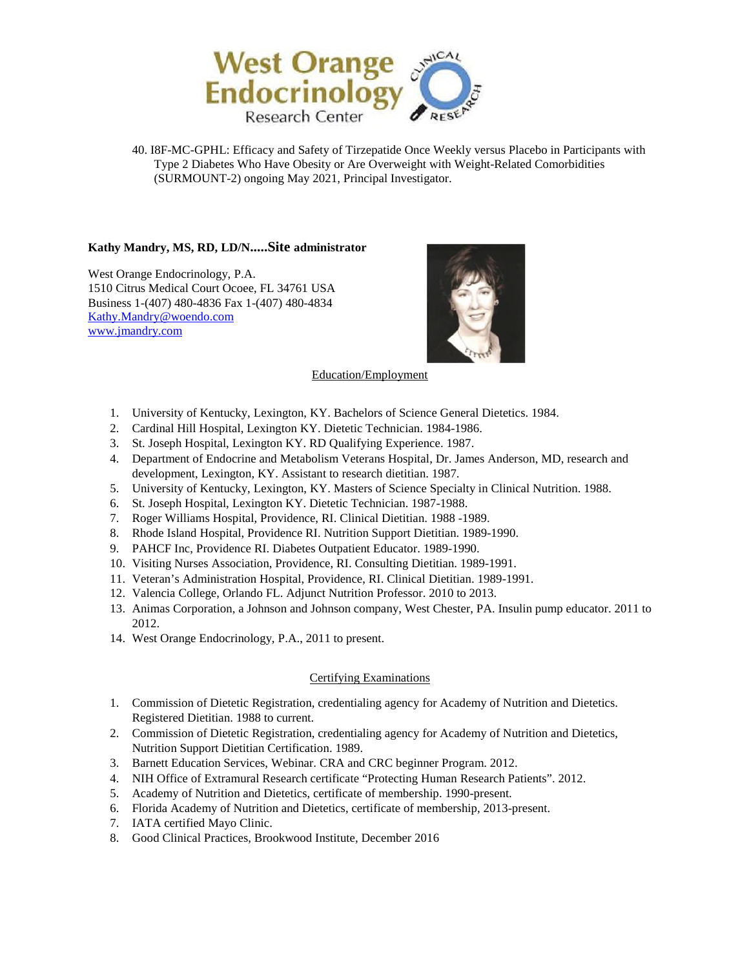

40. I8F-MC-GPHL: Efficacy and Safety of Tirzepatide Once Weekly versus Placebo in Participants with Type 2 Diabetes Who Have Obesity or Are Overweight with Weight-Related Comorbidities (SURMOUNT-2) ongoing May 2021, Principal Investigator.

## **Kathy Mandry, MS, RD, LD/N.....Site administrator**

West Orange Endocrinology, P.A. 1510 Citrus Medical Court Ocoee, FL 34761 USA Business 1-(407) 480-4836 Fax 1-(407) 480-4834 [Kathy.Mandry@woendo.com](mailto:Kathy.Mandry@woendo.com)  [www.jmandry.com](http://www.jmandry.com/) 



#### Education/Employment

- 1. University of Kentucky, Lexington, KY. Bachelors of Science General Dietetics. 1984.
- 2. Cardinal Hill Hospital, Lexington KY. Dietetic Technician. 1984-1986.
- 3. St. Joseph Hospital, Lexington KY. RD Qualifying Experience. 1987.
- 4. Department of Endocrine and Metabolism Veterans Hospital, Dr. James Anderson, MD, research and development, Lexington, KY. Assistant to research dietitian. 1987.
- 5. University of Kentucky, Lexington, KY. Masters of Science Specialty in Clinical Nutrition. 1988.
- 6. St. Joseph Hospital, Lexington KY. Dietetic Technician. 1987-1988.
- 7. Roger Williams Hospital, Providence, RI. Clinical Dietitian. 1988 -1989.
- 8. Rhode Island Hospital, Providence RI. Nutrition Support Dietitian. 1989-1990.
- 9. PAHCF Inc, Providence RI. Diabetes Outpatient Educator. 1989-1990.
- 10. Visiting Nurses Association, Providence, RI. Consulting Dietitian. 1989-1991.
- 11. Veteran's Administration Hospital, Providence, RI. Clinical Dietitian. 1989-1991.
- 12. Valencia College, Orlando FL. Adjunct Nutrition Professor. 2010 to 2013.
- 13. Animas Corporation, a Johnson and Johnson company, West Chester, PA. Insulin pump educator. 2011 to 2012.
- 14. West Orange Endocrinology, P.A., 2011 to present.

## Certifying Examinations

- 1. Commission of Dietetic Registration, credentialing agency for Academy of Nutrition and Dietetics. Registered Dietitian. 1988 to current.
- 2. Commission of Dietetic Registration, credentialing agency for Academy of Nutrition and Dietetics, Nutrition Support Dietitian Certification. 1989.
- 3. Barnett Education Services, Webinar. CRA and CRC beginner Program. 2012.
- 4. NIH Office of Extramural Research certificate "Protecting Human Research Patients". 2012.
- 5. Academy of Nutrition and Dietetics, certificate of membership. 1990-present.
- 6. Florida Academy of Nutrition and Dietetics, certificate of membership, 2013-present.
- 7. IATA certified Mayo Clinic.
- 8. Good Clinical Practices, Brookwood Institute, December 2016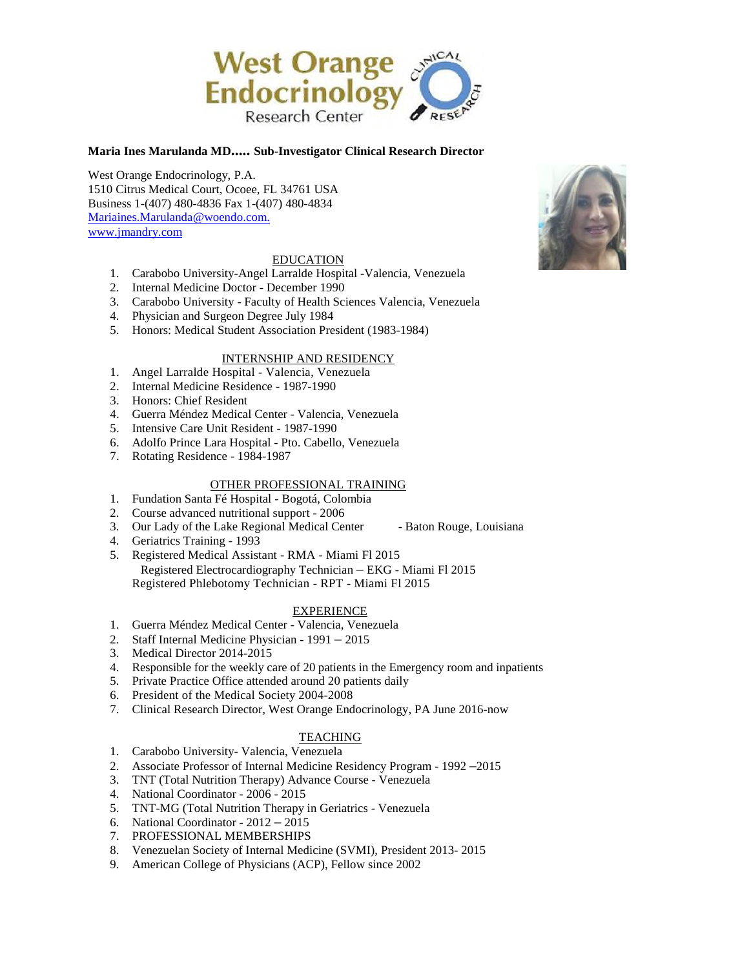

### **Maria Ines Marulanda MD..... Sub-Investigator Clinical Research Director**

West Orange Endocrinology, P.A. 1510 Citrus Medical Court, Ocoee, FL 34761 USA Business 1-(407) 480-4836 Fax 1-(407) 480-4834 [Mariaines.Marulanda@woendo.com.](mailto:Mariaines.Marulanda@woendo.com)  [www.jmandry.com](http://www.jmandry.com/) 

### EDUCATION

- 1. Carabobo University-Angel Larralde Hospital -Valencia, Venezuela
- 2. Internal Medicine Doctor December 1990
- 3. Carabobo University Faculty of Health Sciences Valencia, Venezuela
- 4. Physician and Surgeon Degree July 1984
- 5. Honors: Medical Student Association President (1983-1984)

#### INTERNSHIP AND RESIDENCY

- 1. Angel Larralde Hospital Valencia, Venezuela
- 2. Internal Medicine Residence 1987-1990
- 3. Honors: Chief Resident
- 4. Guerra Méndez Medical Center Valencia, Venezuela
- 5. Intensive Care Unit Resident 1987-1990
- 6. Adolfo Prince Lara Hospital Pto. Cabello, Venezuela
- 7. Rotating Residence 1984-1987

## OTHER PROFESSIONAL TRAINING

- 1. Fundation Santa Fé Hospital Bogotá, Colombia
- 2. Course advanced nutritional support 2006
- 3. Our Lady of the Lake Regional Medical Center Baton Rouge, Louisiana
- 4. Geriatrics Training 1993
- 5. Registered Medical Assistant RMA Miami Fl 2015 Registered Electrocardiography Technician – EKG - Miami Fl 2015 Registered Phlebotomy Technician - RPT - Miami Fl 2015

### EXPERIENCE

- 1. Guerra Méndez Medical Center Valencia, Venezuela
- 2. Staff Internal Medicine Physician 1991 2015
- 3. Medical Director 2014-2015
- 4. Responsible for the weekly care of 20 patients in the Emergency room and inpatients
- 5. Private Practice Office attended around 20 patients daily
- 6. President of the Medical Society 2004-2008
- 7. Clinical Research Director, West Orange Endocrinology, PA June 2016-now

### TEACHING

- 1. Carabobo University- Valencia, Venezuela
- 2. Associate Professor of Internal Medicine Residency Program 1992 –2015
- 3. TNT (Total Nutrition Therapy) Advance Course Venezuela
- 4. National Coordinator 2006 2015
- 5. TNT-MG (Total Nutrition Therapy in Geriatrics Venezuela
- 6. National Coordinator 2012 2015
- 7. PROFESSIONAL MEMBERSHIPS
- 8. Venezuelan Society of Internal Medicine (SVMI), President 2013- 2015
- 9. American College of Physicians (ACP), Fellow since 2002

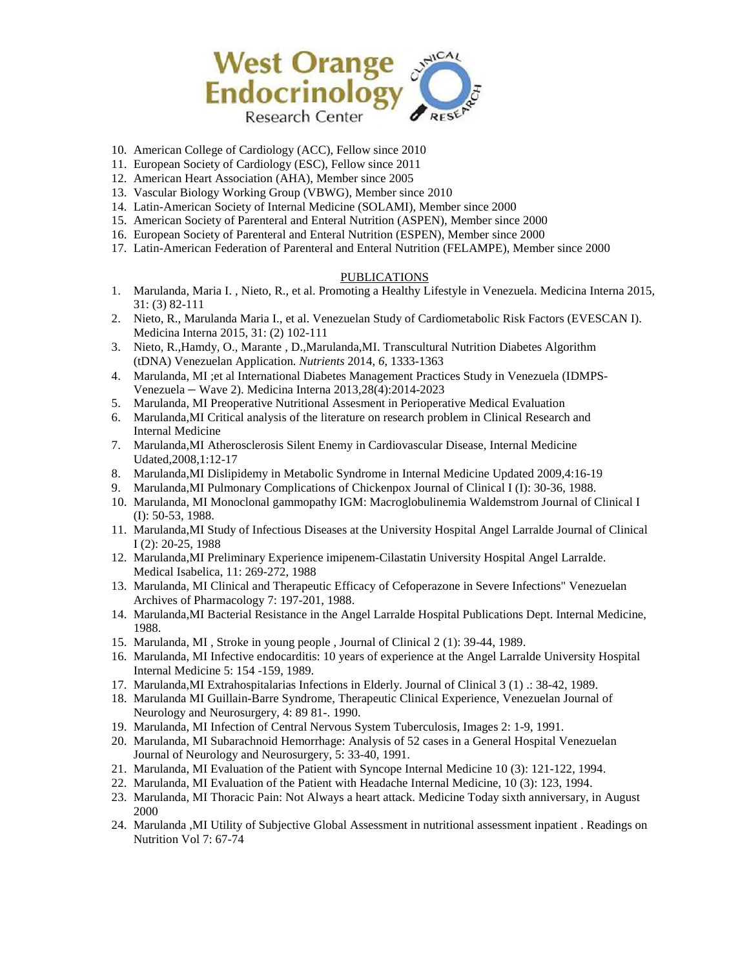

- 10. American College of Cardiology (ACC), Fellow since 2010
- 11. European Society of Cardiology (ESC), Fellow since 2011
- 12. American Heart Association (AHA), Member since 2005
- 13. Vascular Biology Working Group (VBWG), Member since 2010
- 14. Latin-American Society of Internal Medicine (SOLAMI), Member since 2000
- 15. American Society of Parenteral and Enteral Nutrition (ASPEN), Member since 2000
- 16. European Society of Parenteral and Enteral Nutrition (ESPEN), Member since 2000
- 17. Latin-American Federation of Parenteral and Enteral Nutrition (FELAMPE), Member since 2000

### **PUBLICATIONS**

- 1. Marulanda, Maria I. , Nieto, R., et al. Promoting a Healthy Lifestyle in Venezuela. Medicina Interna 2015, 31: (3) 82-111
- 2. Nieto, R., Marulanda Maria I., et al. Venezuelan Study of Cardiometabolic Risk Factors (EVESCAN I). Medicina Interna 2015, 31: (2) 102-111
- 3. Nieto, R.,Hamdy, O., Marante , D.,Marulanda,MI. Transcultural Nutrition Diabetes Algorithm (tDNA) Venezuelan Application. *Nutrients* 2014, *6*, 1333-1363
- 4. Marulanda, MI ;et al International Diabetes Management Practices Study in Venezuela (IDMPS-Venezuela – Wave 2). Medicina Interna 2013,28(4):2014-2023
- 5. Marulanda, MI Preoperative Nutritional Assesment in Perioperative Medical Evaluation
- 6. Marulanda,MI Critical analysis of the literature on research problem in Clinical Research and Internal Medicine
- 7. Marulanda,MI Atherosclerosis Silent Enemy in Cardiovascular Disease, Internal Medicine Udated,2008,1:12-17
- 8. Marulanda,MI Dislipidemy in Metabolic Syndrome in Internal Medicine Updated 2009,4:16-19
- 9. Marulanda,MI Pulmonary Complications of Chickenpox Journal of Clinical I (I): 30-36, 1988.
- 10. Marulanda, MI Monoclonal gammopathy IGM: Macroglobulinemia Waldemstrom Journal of Clinical I (I): 50-53, 1988.
- 11. Marulanda,MI Study of Infectious Diseases at the University Hospital Angel Larralde Journal of Clinical I (2): 20-25, 1988
- 12. Marulanda,MI Preliminary Experience imipenem-Cilastatin University Hospital Angel Larralde. Medical Isabelica, 11: 269-272, 1988
- 13. Marulanda, MI Clinical and Therapeutic Efficacy of Cefoperazone in Severe Infections" Venezuelan Archives of Pharmacology 7: 197-201, 1988.
- 14. Marulanda,MI Bacterial Resistance in the Angel Larralde Hospital Publications Dept. Internal Medicine, 1988.
- 15. Marulanda, MI , Stroke in young people , Journal of Clinical 2 (1): 39-44, 1989.
- 16. Marulanda, MI Infective endocarditis: 10 years of experience at the Angel Larralde University Hospital Internal Medicine 5: 154 -159, 1989.
- 17. Marulanda,MI Extrahospitalarias Infections in Elderly. Journal of Clinical 3 (1) .: 38-42, 1989.
- 18. Marulanda MI Guillain-Barre Syndrome, Therapeutic Clinical Experience, Venezuelan Journal of Neurology and Neurosurgery, 4: 89 81-. 1990.
- 19. Marulanda, MI Infection of Central Nervous System Tuberculosis, Images 2: 1-9, 1991.
- 20. Marulanda, MI Subarachnoid Hemorrhage: Analysis of 52 cases in a General Hospital Venezuelan Journal of Neurology and Neurosurgery, 5: 33-40, 1991.
- 21. Marulanda, MI Evaluation of the Patient with Syncope Internal Medicine 10 (3): 121-122, 1994.
- 22. Marulanda, MI Evaluation of the Patient with Headache Internal Medicine, 10 (3): 123, 1994.
- 23. Marulanda, MI Thoracic Pain: Not Always a heart attack. Medicine Today sixth anniversary, in August 2000
- 24. Marulanda ,MI Utility of Subjective Global Assessment in nutritional assessment inpatient . Readings on Nutrition Vol 7: 67-74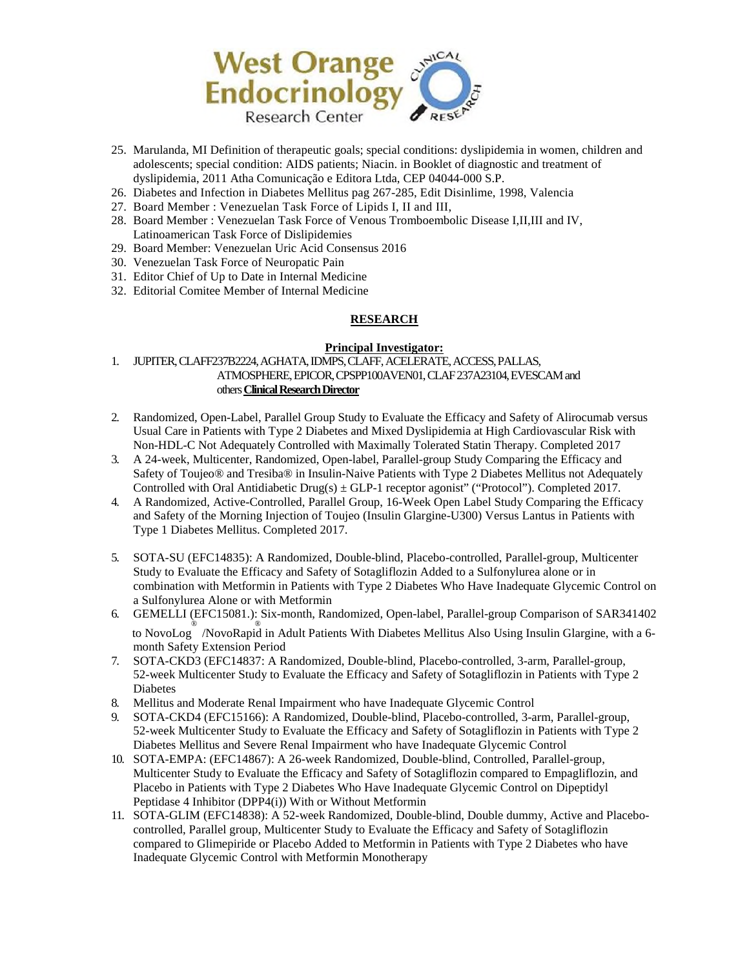

- 25. Marulanda, MI Definition of therapeutic goals; special conditions: dyslipidemia in women, children and adolescents; special condition: AIDS patients; Niacin. in Booklet of diagnostic and treatment of dyslipidemia, 2011 Atha Comunicação e Editora Ltda, CEP 04044-000 S.P.
- 26. Diabetes and Infection in Diabetes Mellitus pag 267-285, Edit Disinlime, 1998, Valencia
- 27. Board Member : Venezuelan Task Force of Lipids I, II and III,
- 28. Board Member : Venezuelan Task Force of Venous Tromboembolic Disease I,II,III and IV, Latinoamerican Task Force of Dislipidemies
- 29. Board Member: Venezuelan Uric Acid Consensus 2016
- 30. Venezuelan Task Force of Neuropatic Pain
- 31. Editor Chief of Up to Date in Internal Medicine
- 32. Editorial Comitee Member of Internal Medicine

### **RESEARCH**

### **Principal Investigator:**

1. JUPITER, CLAFF237B2224, AGHATA, IDMPS, CLAFF, ACELERATE, ACCESS, PALLAS, ATMOSPHERE, EPICOR, CPSPP100AVEN01, CLAF 237A23104, EVESCAM and others **Clinical Research Director** 

- 2. Randomized, Open-Label, Parallel Group Study to Evaluate the Efficacy and Safety of Alirocumab versus Usual Care in Patients with Type 2 Diabetes and Mixed Dyslipidemia at High Cardiovascular Risk with Non-HDL-C Not Adequately Controlled with Maximally Tolerated Statin Therapy. Completed 2017
- 3. A 24-week, Multicenter, Randomized, Open-label, Parallel-group Study Comparing the Efficacy and Safety of Toujeo® and Tresiba® in Insulin-Naive Patients with Type 2 Diabetes Mellitus not Adequately Controlled with Oral Antidiabetic Drug(s)  $\pm$  GLP-1 receptor agonist" ("Protocol"). Completed 2017.
- 4. A Randomized, Active-Controlled, Parallel Group, 16-Week Open Label Study Comparing the Efficacy and Safety of the Morning Injection of Toujeo (Insulin Glargine-U300) Versus Lantus in Patients with Type 1 Diabetes Mellitus. Completed 2017.
- 5. SOTA-SU (EFC14835): A Randomized, Double-blind, Placebo-controlled, Parallel-group, Multicenter Study to Evaluate the Efficacy and Safety of Sotagliflozin Added to a Sulfonylurea alone or in combination with Metformin in Patients with Type 2 Diabetes Who Have Inadequate Glycemic Control on a Sulfonylurea Alone or with Metformin
- 6. GEMELLI (EFC15081.): Six-month, Randomized, Open-label, Parallel-group Comparison of SAR341402 ® ® to NovoLog /NovoRapid in Adult Patients With Diabetes Mellitus Also Using Insulin Glargine, with a 6 month Safety Extension Period
- 7. SOTA-CKD3 (EFC14837: A Randomized, Double-blind, Placebo-controlled, 3-arm, Parallel-group, 52-week Multicenter Study to Evaluate the Efficacy and Safety of Sotagliflozin in Patients with Type 2 Diabetes
- 8. Mellitus and Moderate Renal Impairment who have Inadequate Glycemic Control
- 9. SOTA-CKD4 (EFC15166): A Randomized, Double-blind, Placebo-controlled, 3-arm, Parallel-group, 52-week Multicenter Study to Evaluate the Efficacy and Safety of Sotagliflozin in Patients with Type 2 Diabetes Mellitus and Severe Renal Impairment who have Inadequate Glycemic Control
- 10. SOTA-EMPA: (EFC14867): A 26-week Randomized, Double-blind, Controlled, Parallel-group, Multicenter Study to Evaluate the Efficacy and Safety of Sotagliflozin compared to Empagliflozin, and Placebo in Patients with Type 2 Diabetes Who Have Inadequate Glycemic Control on Dipeptidyl Peptidase 4 Inhibitor (DPP4(i)) With or Without Metformin
- 11. SOTA-GLIM (EFC14838): A 52-week Randomized, Double-blind, Double dummy, Active and Placebocontrolled, Parallel group, Multicenter Study to Evaluate the Efficacy and Safety of Sotagliflozin compared to Glimepiride or Placebo Added to Metformin in Patients with Type 2 Diabetes who have Inadequate Glycemic Control with Metformin Monotherapy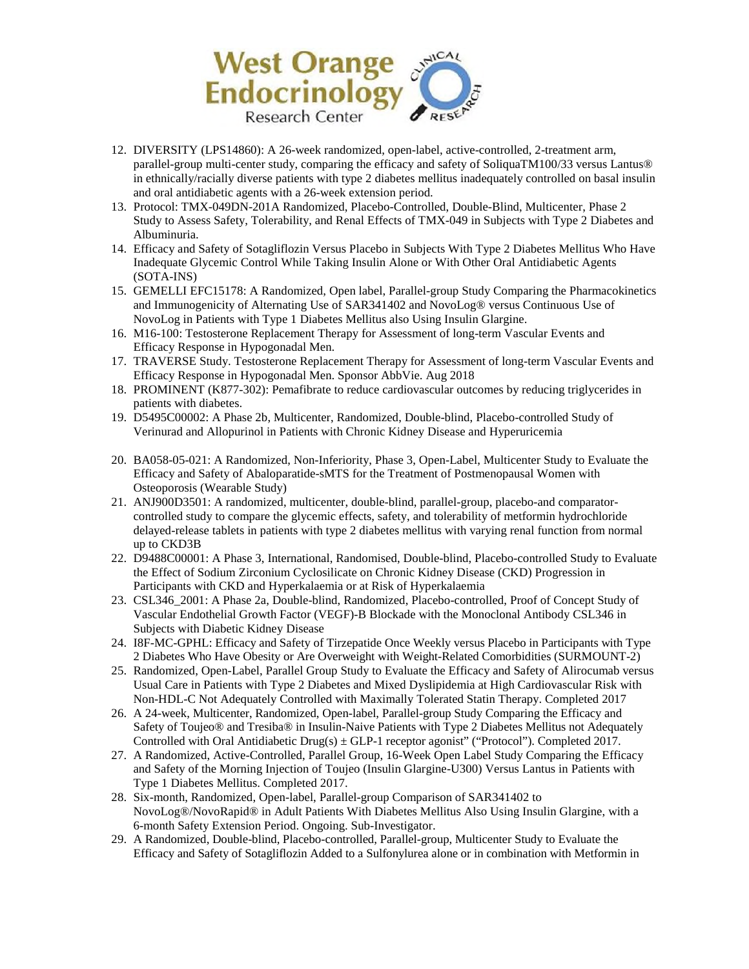

- 12. DIVERSITY (LPS14860): A 26-week randomized, open-label, active-controlled, 2-treatment arm, parallel-group multi-center study, comparing the efficacy and safety of SoliquaTM100/33 versus Lantus® in ethnically/racially diverse patients with type 2 diabetes mellitus inadequately controlled on basal insulin and oral antidiabetic agents with a 26-week extension period.
- 13. Protocol: TMX-049DN-201A Randomized, Placebo-Controlled, Double-Blind, Multicenter, Phase 2 Study to Assess Safety, Tolerability, and Renal Effects of TMX-049 in Subjects with Type 2 Diabetes and Albuminuria.
- 14. Efficacy and Safety of Sotagliflozin Versus Placebo in Subjects With Type 2 Diabetes Mellitus Who Have Inadequate Glycemic Control While Taking Insulin Alone or With Other Oral Antidiabetic Agents (SOTA-INS)
- 15. GEMELLI EFC15178: A Randomized, Open label, Parallel-group Study Comparing the Pharmacokinetics and Immunogenicity of Alternating Use of SAR341402 and NovoLog® versus Continuous Use of NovoLog in Patients with Type 1 Diabetes Mellitus also Using Insulin Glargine.
- 16. M16-100: Testosterone Replacement Therapy for Assessment of long-term Vascular Events and Efficacy Response in Hypogonadal Men.
- 17. TRAVERSE Study. Testosterone Replacement Therapy for Assessment of long-term Vascular Events and Efficacy Response in Hypogonadal Men. Sponsor AbbVie. Aug 2018
- 18. PROMINENT (K877-302): Pemafibrate to reduce cardiovascular outcomes by reducing triglycerides in patients with diabetes.
- 19. D5495C00002: A Phase 2b, Multicenter, Randomized, Double-blind, Placebo-controlled Study of Verinurad and Allopurinol in Patients with Chronic Kidney Disease and Hyperuricemia
- 20. BA058-05-021: A Randomized, Non-Inferiority, Phase 3, Open-Label, Multicenter Study to Evaluate the Efficacy and Safety of Abaloparatide-sMTS for the Treatment of Postmenopausal Women with Osteoporosis (Wearable Study)
- 21. ANJ900D3501: A randomized, multicenter, double-blind, parallel-group, placebo-and comparatorcontrolled study to compare the glycemic effects, safety, and tolerability of metformin hydrochloride delayed-release tablets in patients with type 2 diabetes mellitus with varying renal function from normal up to CKD3B
- 22. D9488C00001: A Phase 3, International, Randomised, Double-blind, Placebo-controlled Study to Evaluate the Effect of Sodium Zirconium Cyclosilicate on Chronic Kidney Disease (CKD) Progression in Participants with CKD and Hyperkalaemia or at Risk of Hyperkalaemia
- 23. CSL346\_2001: A Phase 2a, Double-blind, Randomized, Placebo-controlled, Proof of Concept Study of Vascular Endothelial Growth Factor (VEGF)-B Blockade with the Monoclonal Antibody CSL346 in Subjects with Diabetic Kidney Disease
- 24. I8F-MC-GPHL: Efficacy and Safety of Tirzepatide Once Weekly versus Placebo in Participants with Type 2 Diabetes Who Have Obesity or Are Overweight with Weight-Related Comorbidities (SURMOUNT-2)
- 25. Randomized, Open-Label, Parallel Group Study to Evaluate the Efficacy and Safety of Alirocumab versus Usual Care in Patients with Type 2 Diabetes and Mixed Dyslipidemia at High Cardiovascular Risk with Non-HDL-C Not Adequately Controlled with Maximally Tolerated Statin Therapy. Completed 2017
- 26. A 24-week, Multicenter, Randomized, Open-label, Parallel-group Study Comparing the Efficacy and Safety of Toujeo® and Tresiba® in Insulin-Naive Patients with Type 2 Diabetes Mellitus not Adequately Controlled with Oral Antidiabetic Drug(s) ± GLP-1 receptor agonist" ("Protocol"). Completed 2017.
- 27. A Randomized, Active-Controlled, Parallel Group, 16-Week Open Label Study Comparing the Efficacy and Safety of the Morning Injection of Toujeo (Insulin Glargine-U300) Versus Lantus in Patients with Type 1 Diabetes Mellitus. Completed 2017.
- 28. Six-month, Randomized, Open-label, Parallel-group Comparison of SAR341402 to NovoLog®/NovoRapid® in Adult Patients With Diabetes Mellitus Also Using Insulin Glargine, with a 6-month Safety Extension Period. Ongoing. Sub-Investigator.
- 29. A Randomized, Double-blind, Placebo-controlled, Parallel-group, Multicenter Study to Evaluate the Efficacy and Safety of Sotagliflozin Added to a Sulfonylurea alone or in combination with Metformin in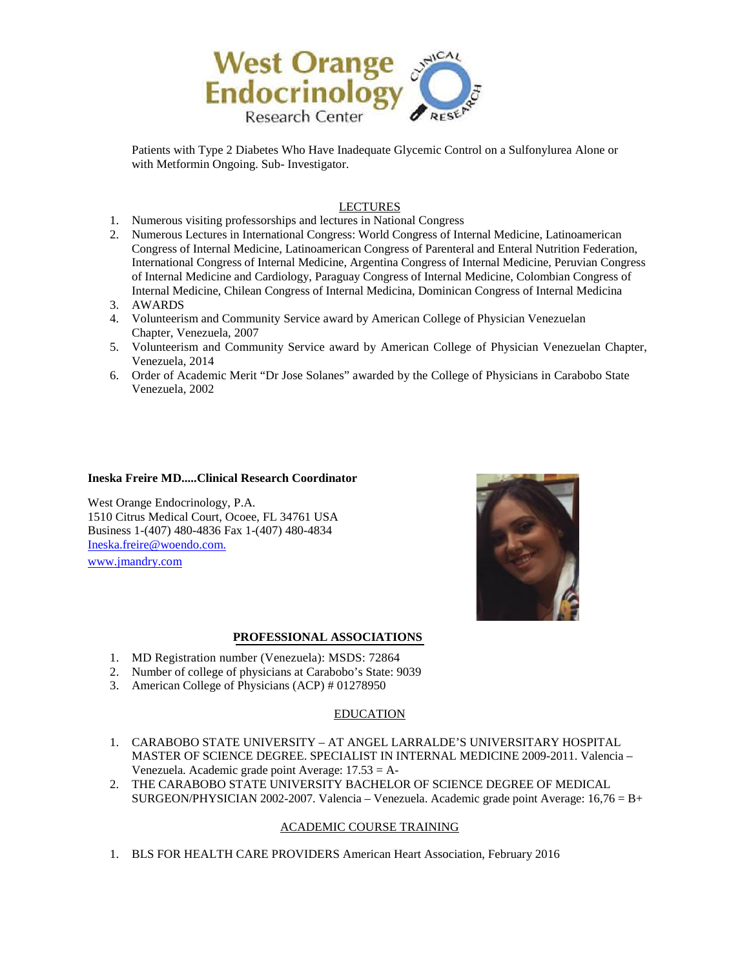

Patients with Type 2 Diabetes Who Have Inadequate Glycemic Control on a Sulfonylurea Alone or with Metformin Ongoing. Sub- Investigator.

## LECTURES

- 1. Numerous visiting professorships and lectures in National Congress
- 2. Numerous Lectures in International Congress: World Congress of Internal Medicine, Latinoamerican Congress of Internal Medicine, Latinoamerican Congress of Parenteral and Enteral Nutrition Federation, International Congress of Internal Medicine, Argentina Congress of Internal Medicine, Peruvian Congress of Internal Medicine and Cardiology, Paraguay Congress of Internal Medicine, Colombian Congress of Internal Medicine, Chilean Congress of Internal Medicina, Dominican Congress of Internal Medicina
- 3. AWARDS
- 4. Volunteerism and Community Service award by American College of Physician Venezuelan Chapter, Venezuela, 2007
- 5. Volunteerism and Community Service award by American College of Physician Venezuelan Chapter, Venezuela, 2014
- 6. Order of Academic Merit "Dr Jose Solanes" awarded by the College of Physicians in Carabobo State Venezuela, 2002

### **Ineska Freire MD.....Clinical Research Coordinator**

West Orange Endocrinology, P.A. 1510 Citrus Medical Court, Ocoee, FL 34761 USA Business 1-(407) 480-4836 Fax 1-(407) 480-4834 [Ineska.freire@woendo.com.](mailto:Ineska.freire@woendo.com) [www.jmandry.com](http://www.jmandry.com/) 



### **PROFESSIONAL ASSOCIATIONS**

- 1. MD Registration number (Venezuela): MSDS: 72864
- 2. Number of college of physicians at Carabobo's State: 9039
- 3. American College of Physicians (ACP) # 01278950

## EDUCATION

- 1. CARABOBO STATE UNIVERSITY AT ANGEL LARRALDE'S UNIVERSITARY HOSPITAL MASTER OF SCIENCE DEGREE. SPECIALIST IN INTERNAL MEDICINE 2009-2011. Valencia – Venezuela. Academic grade point Average: 17.53 = A-
- 2. THE CARABOBO STATE UNIVERSITY BACHELOR OF SCIENCE DEGREE OF MEDICAL SURGEON/PHYSICIAN 2002-2007. Valencia – Venezuela. Academic grade point Average: 16,76 = B+

## ACADEMIC COURSE TRAINING

1. BLS FOR HEALTH CARE PROVIDERS American Heart Association, February 2016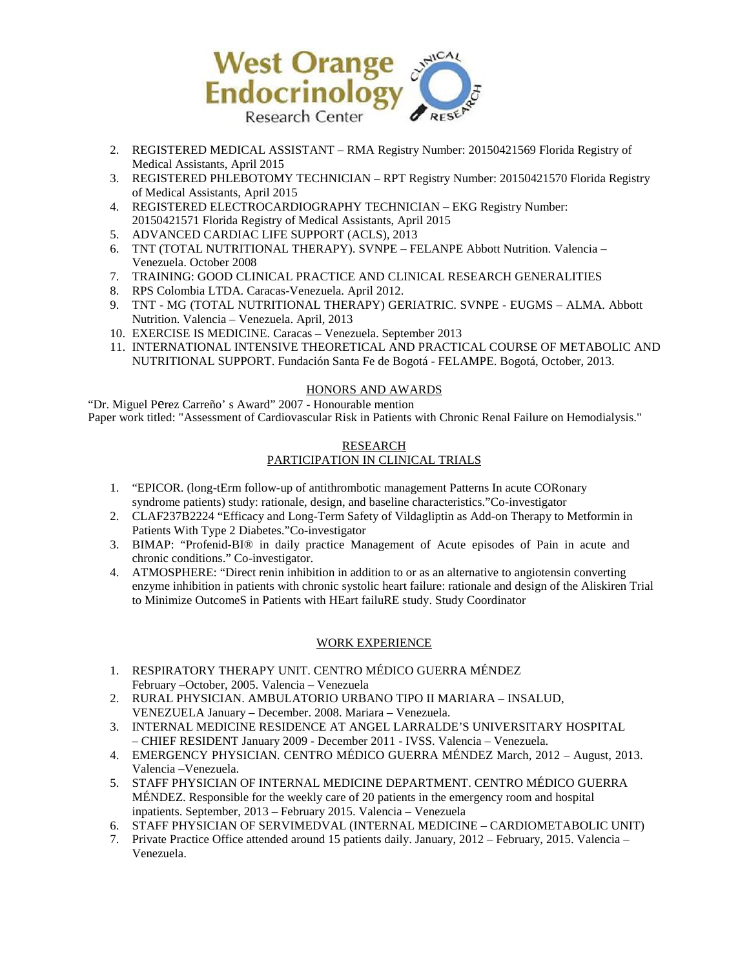

- 2. REGISTERED MEDICAL ASSISTANT RMA Registry Number: 20150421569 Florida Registry of Medical Assistants, April 2015
- 3. REGISTERED PHLEBOTOMY TECHNICIAN RPT Registry Number: 20150421570 Florida Registry of Medical Assistants, April 2015
- 4. REGISTERED ELECTROCARDIOGRAPHY TECHNICIAN EKG Registry Number: 20150421571 Florida Registry of Medical Assistants, April 2015
- 5. ADVANCED CARDIAC LIFE SUPPORT (ACLS), 2013
- 6. TNT (TOTAL NUTRITIONAL THERAPY). SVNPE FELANPE Abbott Nutrition. Valencia Venezuela. October 2008
- 7. TRAINING: GOOD CLINICAL PRACTICE AND CLINICAL RESEARCH GENERALITIES
- 8. RPS Colombia LTDA. Caracas-Venezuela. April 2012.
- 9. TNT MG (TOTAL NUTRITIONAL THERAPY) GERIATRIC. SVNPE EUGMS ALMA. Abbott Nutrition. Valencia – Venezuela. April, 2013
- 10. EXERCISE IS MEDICINE. Caracas Venezuela. September 2013
- 11. INTERNATIONAL INTENSIVE THEORETICAL AND PRACTICAL COURSE OF METABOLIC AND NUTRITIONAL SUPPORT. Fundación Santa Fe de Bogotá - FELAMPE. Bogotá, October, 2013.

## HONORS AND AWARDS

"Dr. Miguel Perez Carreño' s Award" 2007 - Honourable mention Paper work titled: "Assessment of Cardiovascular Risk in Patients with Chronic Renal Failure on Hemodialysis."

# RESEARCH PARTICIPATION IN CLINICAL TRIALS

- 1. "EPICOR. (long-tErm follow-up of antithrombotic management Patterns In acute CORonary syndrome patients) study: rationale, design, and baseline characteristics."Co-investigator
- 2. CLAF237B2224 "Efficacy and Long-Term Safety of Vildagliptin as Add-on Therapy to Metformin in Patients With Type 2 Diabetes."Co-investigator
- 3. BIMAP: "Profenid-BI® in daily practice Management of Acute episodes of Pain in acute and chronic conditions." Co-investigator.
- 4. ATMOSPHERE: "Direct renin inhibition in addition to or as an alternative to angiotensin converting enzyme inhibition in patients with chronic systolic heart failure: rationale and design of the Aliskiren Trial to Minimize OutcomeS in Patients with HEart failuRE study. Study Coordinator

# WORK EXPERIENCE

- 1. RESPIRATORY THERAPY UNIT. CENTRO MÉDICO GUERRA MÉNDEZ February –October, 2005. Valencia – Venezuela
- 2. RURAL PHYSICIAN. AMBULATORIO URBANO TIPO II MARIARA INSALUD, VENEZUELA January – December. 2008. Mariara – Venezuela.
- 3. INTERNAL MEDICINE RESIDENCE AT ANGEL LARRALDE'S UNIVERSITARY HOSPITAL – CHIEF RESIDENT January 2009 - December 2011 - IVSS. Valencia – Venezuela.
- 4. EMERGENCY PHYSICIAN. CENTRO MÉDICO GUERRA MÉNDEZ March, 2012 August, 2013. Valencia –Venezuela.
- 5. STAFF PHYSICIAN OF INTERNAL MEDICINE DEPARTMENT. CENTRO MÉDICO GUERRA MÉNDEZ. Responsible for the weekly care of 20 patients in the emergency room and hospital inpatients. September, 2013 – February 2015. Valencia – Venezuela
- 6. STAFF PHYSICIAN OF SERVIMEDVAL (INTERNAL MEDICINE CARDIOMETABOLIC UNIT)
- 7. Private Practice Office attended around 15 patients daily. January, 2012 February, 2015. Valencia Venezuela.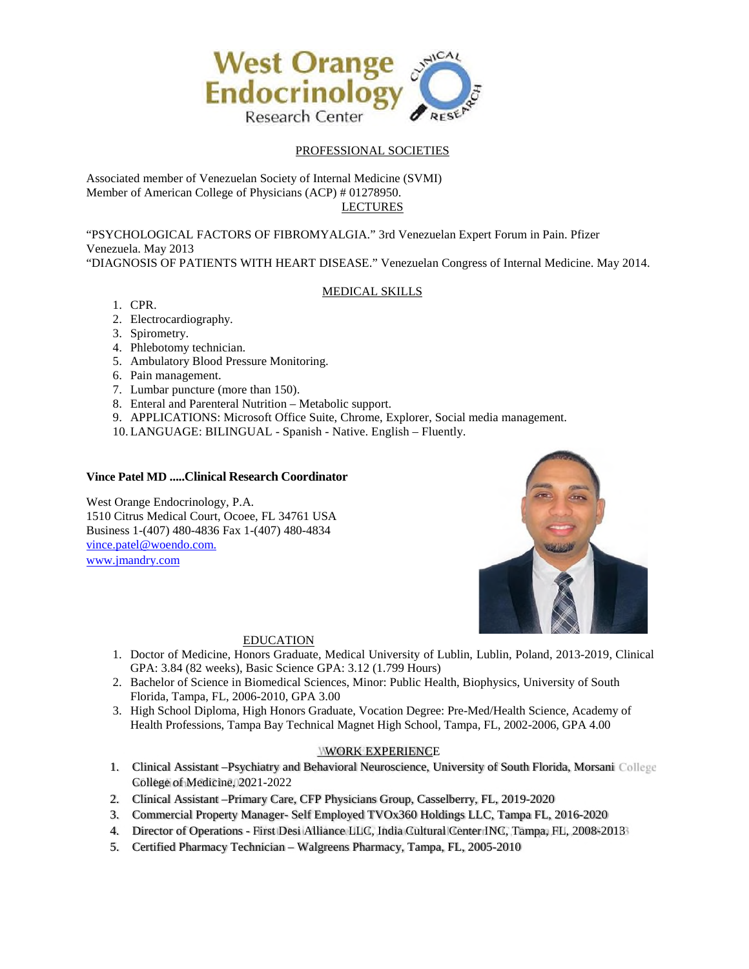

# PROFESSIONAL SOCIETIES

Associated member of Venezuelan Society of Internal Medicine (SVMI) Member of American College of Physicians (ACP) # 01278950. LECTURES

"PSYCHOLOGICAL FACTORS OF FIBROMYALGIA." 3rd Venezuelan Expert Forum in Pain. Pfizer Venezuela. May 2013 "DIAGNOSIS OF PATIENTS WITH HEART DISEASE." Venezuelan Congress of Internal Medicine. May 2014.

## MEDICAL SKILLS

- 1. CPR.
- 2. Electrocardiography.
- 3. Spirometry.
- 4. Phlebotomy technician.
- 5. Ambulatory Blood Pressure Monitoring.
- 6. Pain management.
- 7. Lumbar puncture (more than 150).
- 8. Enteral and Parenteral Nutrition Metabolic support.
- 9. APPLICATIONS: Microsoft Office Suite, Chrome, Explorer, Social media management.
- 10. LANGUAGE: BILINGUAL Spanish Native. English Fluently.

## **Vince Patel MD .....Clinical Research Coordinator**

West Orange Endocrinology, P.A. 1510 Citrus Medical Court, Ocoee, FL 34761 USA Business 1-(407) 480-4836 Fax 1-(407) 480-4834 [vince.patel@woendo.com.](mailto:vince.patel@woendo.com) [www.jmandry.com](http://www.jmandry.com/) 



### EDUCATION

- 1. Doctor of Medicine, Honors Graduate, Medical University of Lublin, Lublin, Poland, 2013-2019, Clinical GPA: 3.84 (82 weeks), Basic Science GPA: 3.12 (1.799 Hours)
- 2. Bachelor of Science in Biomedical Sciences, Minor: Public Health, Biophysics, University of South Florida, Tampa, FL, 2006-2010, GPA 3.00
- 3. High School Diploma, High Honors Graduate, Vocation Degree: Pre-Med/Health Science, Academy of Health Professions, Tampa Bay Technical Magnet High School, Tampa, FL, 2002-2006, GPA 4.00

## WORK EXPERIENCE

- 1. Clinical Assistant -Psychiatry and Behavioral Neuroscience, University of South Florida, Morsani College College of Medicine, 2021-2022
- 2. Clinical Assistant –Primary Care, CFP Physicians Group, Casselberry, FL, 2019-2020
- 3. Commercial Property Manager- Self Employed TVOx360 Holdings LLC, Tampa FL, 2016-2020
- 4. Director of Operations First Desi Alliance LLC, India Cultural Center INC, Tampa, FL, 2008-2013
- 5. Certified Pharmacy Technician Walgreens Pharmacy, Tampa, FL, 2005-2010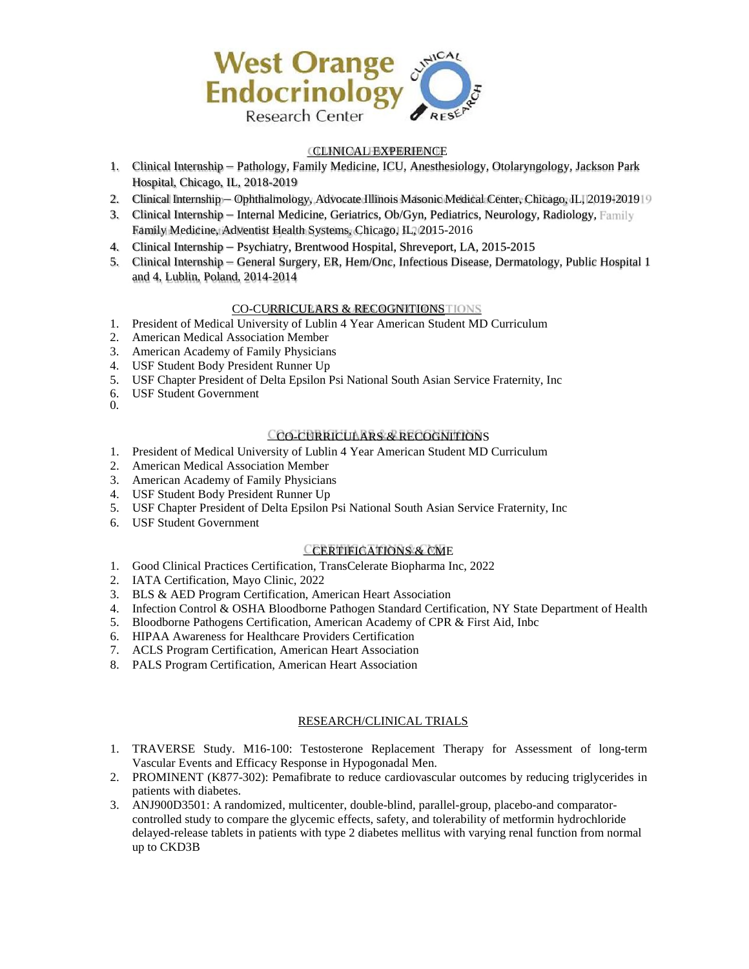

## CLINICAL EXPERIENCE

- 1. Clinical Internship Pathology, Family Medicine, ICU, Anesthesiology, Otolaryngology, Jackson Park Hospital, Chicago, IL, 2018-2019
- 2. Clinical Internship Ophthalmology, Advocate Illinois Masonic Medical Center, Chicago, IL, 2019-2019
- 3. Clinical Internship Internal Medicine, Geriatrics, Ob/Gyn, Pediatrics, Neurology, Radiology, Family Family Medicine, Adventist Health Systems, Chicago, IL, 2015-2016
- 4. Clinical Internship Psychiatry, Brentwood Hospital, Shreveport, LA, 2015-2015
- 5. Clinical Internship General Surgery, ER, Hem/Onc, Infectious Disease, Dermatology, Public Hospital 1 and 4, Lublin, Poland, 2014-2014

## CO-CURRICULARS & RECOGNITIONS

- 1. President of Medical University of Lublin 4 Year American Student MD Curriculum
- 2. American Medical Association Member
- 3. American Academy of Family Physicians
- 4. USF Student Body President Runner Up
- 5. USF Chapter President of Delta Epsilon Psi National South Asian Service Fraternity, Inc
- 6. USF Student Government
- 0.

## CO-CURRICULARS & RECOGNITIONS

- 1. President of Medical University of Lublin 4 Year American Student MD Curriculum
- 2. American Medical Association Member
- 3. American Academy of Family Physicians
- 4. USF Student Body President Runner Up
- 5. USF Chapter President of Delta Epsilon Psi National South Asian Service Fraternity, Inc
- 6. USF Student Government

## CERTIFICATIONS & CME

- 1. Good Clinical Practices Certification, TransCelerate Biopharma Inc, 2022
- 2. IATA Certification, Mayo Clinic, 2022
- 3. BLS & AED Program Certification, American Heart Association
- 4. Infection Control & OSHA Bloodborne Pathogen Standard Certification, NY State Department of Health
- 5. Bloodborne Pathogens Certification, American Academy of CPR & First Aid, Inbc
- 6. HIPAA Awareness for Healthcare Providers Certification
- 7. ACLS Program Certification, American Heart Association
- 8. PALS Program Certification, American Heart Association

### RESEARCH/CLINICAL TRIALS

- 1. TRAVERSE Study. M16-100: Testosterone Replacement Therapy for Assessment of long-term Vascular Events and Efficacy Response in Hypogonadal Men.
- 2. PROMINENT (K877-302): Pemafibrate to reduce cardiovascular outcomes by reducing triglycerides in patients with diabetes.
- 3. ANJ900D3501: A randomized, multicenter, double-blind, parallel-group, placebo-and comparatorcontrolled study to compare the glycemic effects, safety, and tolerability of metformin hydrochloride delayed-release tablets in patients with type 2 diabetes mellitus with varying renal function from normal up to CKD3B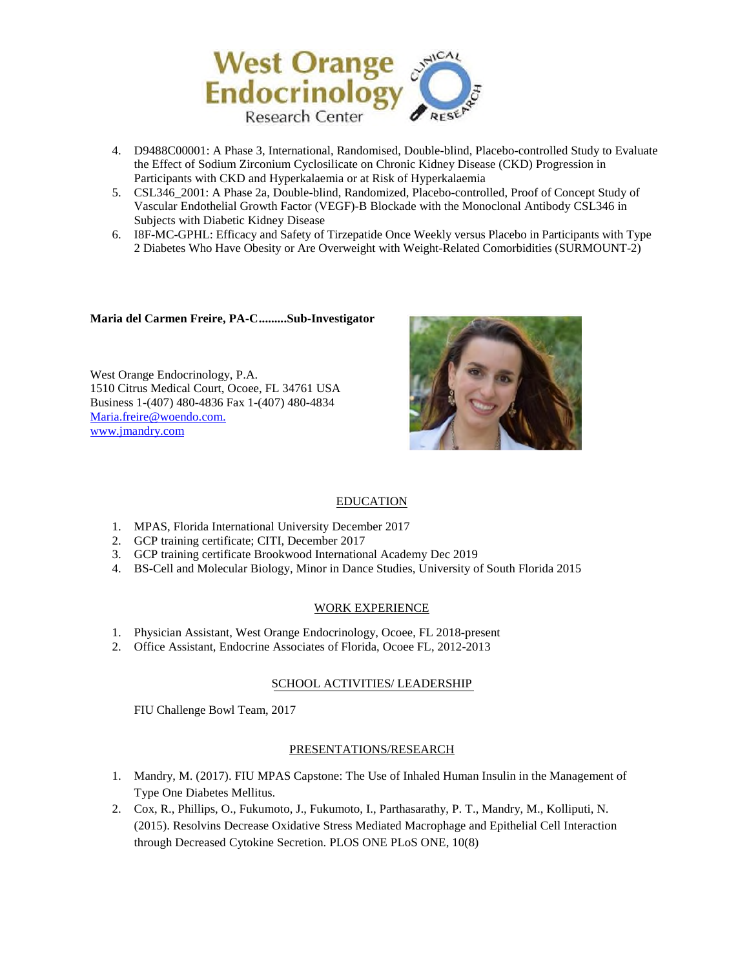

- 4. D9488C00001: A Phase 3, International, Randomised, Double-blind, Placebo-controlled Study to Evaluate the Effect of Sodium Zirconium Cyclosilicate on Chronic Kidney Disease (CKD) Progression in Participants with CKD and Hyperkalaemia or at Risk of Hyperkalaemia
- 5. CSL346\_2001: A Phase 2a, Double-blind, Randomized, Placebo-controlled, Proof of Concept Study of Vascular Endothelial Growth Factor (VEGF)-B Blockade with the Monoclonal Antibody CSL346 in Subjects with Diabetic Kidney Disease
- 6. I8F-MC-GPHL: Efficacy and Safety of Tirzepatide Once Weekly versus Placebo in Participants with Type 2 Diabetes Who Have Obesity or Are Overweight with Weight-Related Comorbidities (SURMOUNT-2)

### **Maria del Carmen Freire, PA-C ........ .Sub-Investigator**

West Orange Endocrinology, P.A. 1510 Citrus Medical Court, Ocoee, FL 34761 USA Business 1-(407) 480-4836 Fax 1-(407) 480-4834 [Maria.freire@woendo.com.](mailto:Maria.freire@woendo.com)  [www.jmandry.com](http://www.jmandry.com/) 



## EDUCATION

- 1. MPAS, Florida International University December 2017
- 2. GCP training certificate; CITI, December 2017
- 3. GCP training certificate Brookwood International Academy Dec 2019
- 4. BS-Cell and Molecular Biology, Minor in Dance Studies, University of South Florida 2015

## WORK EXPERIENCE

- 1. Physician Assistant, West Orange Endocrinology, Ocoee, FL 2018-present
- 2. Office Assistant, Endocrine Associates of Florida, Ocoee FL, 2012-2013

## SCHOOL ACTIVITIES/ LEADERSHIP

FIU Challenge Bowl Team, 2017

### PRESENTATIONS/RESEARCH

- 1. Mandry, M. (2017). FIU MPAS Capstone: The Use of Inhaled Human Insulin in the Management of Type One Diabetes Mellitus.
- 2. Cox, R., Phillips, O., Fukumoto, J., Fukumoto, I., Parthasarathy, P. T., Mandry, M., Kolliputi, N. (2015). Resolvins Decrease Oxidative Stress Mediated Macrophage and Epithelial Cell Interaction through Decreased Cytokine Secretion. PLOS ONE PLoS ONE, 10(8)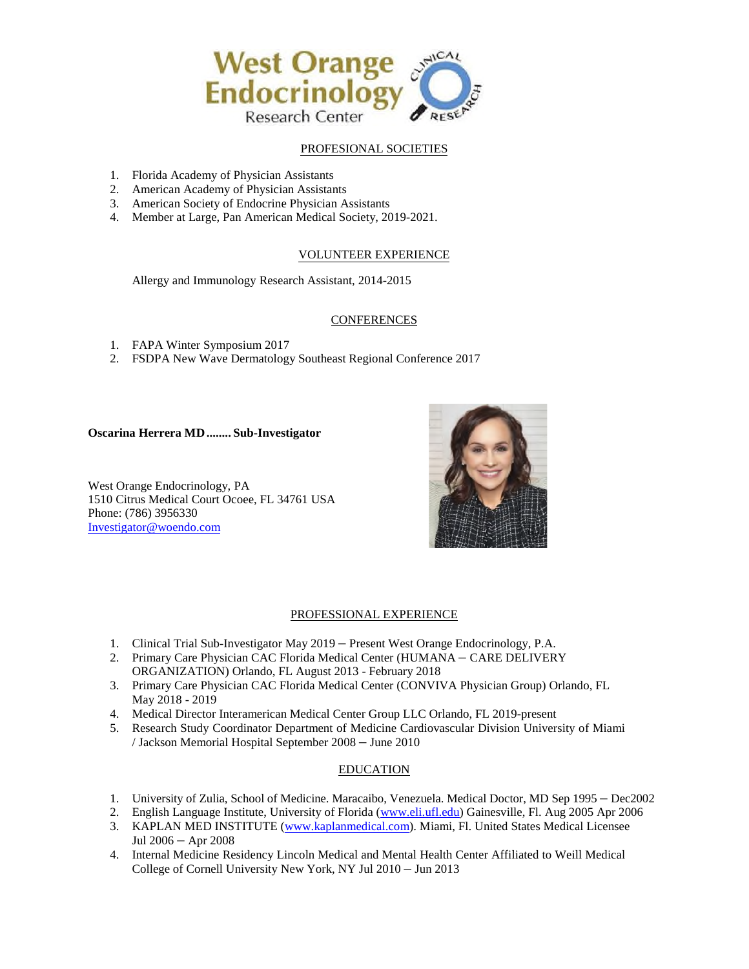

# PROFESIONAL SOCIETIES

- 1. Florida Academy of Physician Assistants
- 2. American Academy of Physician Assistants
- 3. American Society of Endocrine Physician Assistants
- 4. Member at Large, Pan American Medical Society, 2019-2021.

## VOLUNTEER EXPERIENCE

Allergy and Immunology Research Assistant, 2014-2015

## **CONFERENCES**

- 1. FAPA Winter Symposium 2017
- 2. FSDPA New Wave Dermatology Southeast Regional Conference 2017

## **Oscarina Herrera MD ........ Sub-Investigator**

West Orange Endocrinology, PA 1510 Citrus Medical Court Ocoee, FL 34761 USA Phone: (786) 3956330 [Investigator@woendo.com](mailto:Investigator@woendo.com) 



## PROFESSIONAL EXPERIENCE

- 1. Clinical Trial Sub-Investigator May 2019 Present West Orange Endocrinology, P.A.
- 2. Primary Care Physician CAC Florida Medical Center (HUMANA CARE DELIVERY ORGANIZATION) Orlando, FL August 2013 - February 2018
- 3. Primary Care Physician CAC Florida Medical Center (CONVIVA Physician Group) Orlando, FL May 2018 - 2019
- 4. Medical Director Interamerican Medical Center Group LLC Orlando, FL 2019-present
- 5. Research Study Coordinator Department of Medicine Cardiovascular Division University of Miami / Jackson Memorial Hospital September 2008 – June 2010

## EDUCATION

- 1. University of Zulia, School of Medicine. Maracaibo, Venezuela. Medical Doctor, MD Sep 1995 Dec2002
- 2. English Language Institute, University of Florida [\(www.eli.ufl.edu\)](http://www.eli.ufl.edu/) Gainesville, Fl. Aug 2005 Apr 2006
- 3. KAPLAN MED INSTITUTE [\(www.kaplanmedical.com\)](http://www.kaplanmedical.com/). Miami, Fl. United States Medical Licensee Jul 2006 – Apr 2008
- 4. Internal Medicine Residency Lincoln Medical and Mental Health Center Affiliated to Weill Medical College of Cornell University New York, NY Jul 2010 – Jun 2013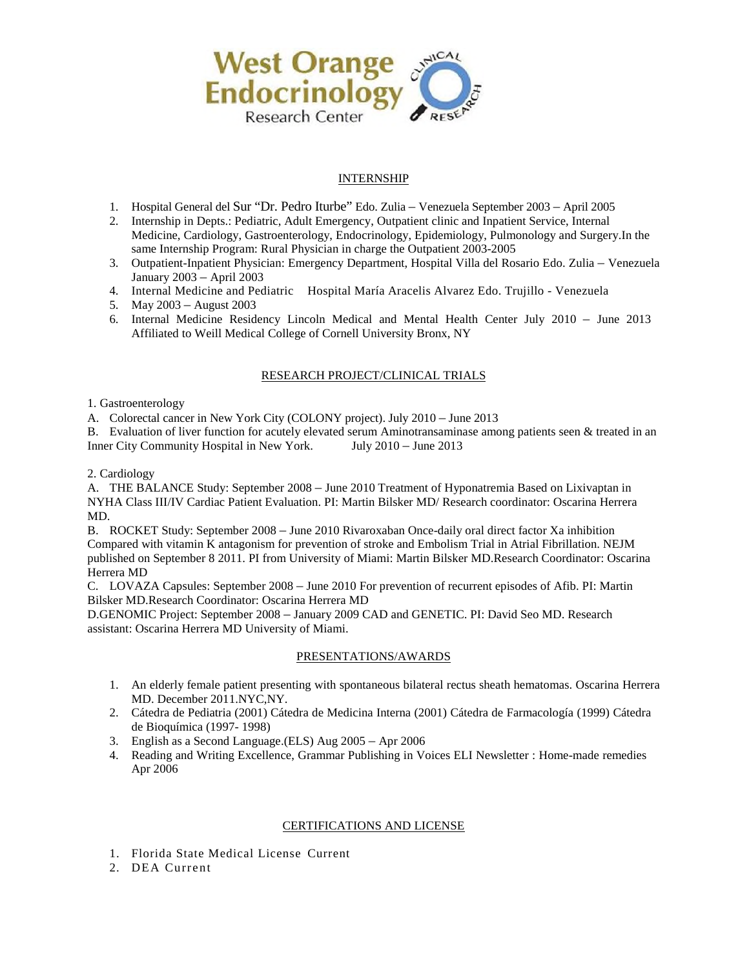

# INTERNSHIP

- 1. Hospital General del Sur "Dr. Pedro Iturbe" Edo. Zulia Venezuela September 2003 April 2005
- 2. Internship in Depts.: Pediatric, Adult Emergency, Outpatient clinic and Inpatient Service, Internal Medicine, Cardiology, Gastroenterology, Endocrinology, Epidemiology, Pulmonology and Surgery.In the same Internship Program: Rural Physician in charge the Outpatient 2003-2005
- 3. Outpatient-Inpatient Physician: Emergency Department, Hospital Villa del Rosario Edo. Zulia Venezuela January 2003 – April 2003
- 4. Internal Medicine and Pediatric Hospital María Aracelis Alvarez Edo. Trujillo Venezuela
- 5. May 2003 August 2003
- 6. Internal Medicine Residency Lincoln Medical and Mental Health Center July 2010 June 2013 Affiliated to Weill Medical College of Cornell University Bronx, NY

## RESEARCH PROJECT/CLINICAL TRIALS

### 1. Gastroenterology

A. Colorectal cancer in New York City (COLONY project). July 2010 – June 2013

B. Evaluation of liver function for acutely elevated serum Aminotransaminase among patients seen & treated in an Inner City Community Hospital in New York. July 2010 – June 2013

2. Cardiology

A. THE BALANCE Study: September 2008 – June 2010 Treatment of Hyponatremia Based on Lixivaptan in NYHA Class III/IV Cardiac Patient Evaluation. PI: Martin Bilsker MD/ Research coordinator: Oscarina Herrera MD.

B. ROCKET Study: September 2008 – June 2010 Rivaroxaban Once-daily oral direct factor Xa inhibition Compared with vitamin K antagonism for prevention of stroke and Embolism Trial in Atrial Fibrillation. NEJM published on September 8 2011. PI from University of Miami: Martin Bilsker MD.Research Coordinator: Oscarina Herrera MD

C. LOVAZA Capsules: September 2008 – June 2010 For prevention of recurrent episodes of Afib. PI: Martin Bilsker MD.Research Coordinator: Oscarina Herrera MD

D.GENOMIC Project: September 2008 – January 2009 CAD and GENETIC. PI: David Seo MD. Research assistant: Oscarina Herrera MD University of Miami.

## PRESENTATIONS/AWARDS

- 1. An elderly female patient presenting with spontaneous bilateral rectus sheath hematomas. Oscarina Herrera MD. December 2011.NYC,NY.
- 2. Cátedra de Pediatria (2001) Cátedra de Medicina Interna (2001) Cátedra de Farmacología (1999) Cátedra de Bioquímica (1997- 1998)
- 3. English as a Second Language.(ELS) Aug 2005 Apr 2006
- 4. Reading and Writing Excellence, Grammar Publishing in Voices ELI Newsletter : Home-made remedies Apr 2006

## CERTIFICATIONS AND LICENSE

- 1. Florida State Medical License Current
- 2. DEA Current